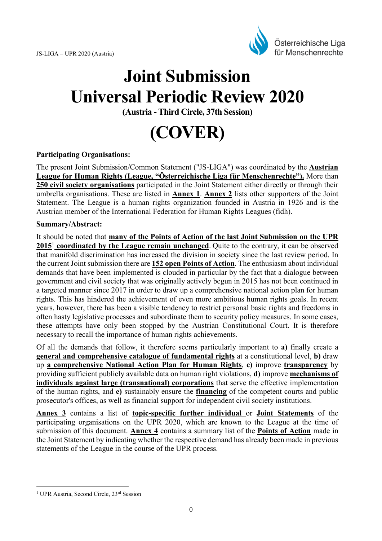

# **Joint Submission Universal Periodic Review 2020**

**(Austria - Third Circle, 37th Session)** 

**(COVER)** 

#### **Participating Organisations:**

The present Joint Submission/Common Statement ("JS-LIGA") was coordinated by the **Austrian League for Human Rights (League, "Österreichische Liga für Menschenrechte").** More than **250 civil society organisations** participated in the Joint Statement either directly or through their umbrella organisations. These are listed in **Annex 1**. **Annex 2** lists other supporters of the Joint Statement. The League is a human rights organization founded in Austria in 1926 and is the Austrian member of the International Federation for Human Rights Leagues (fidh).

#### **Summary/Abstract:**

It should be noted that **many of the Points of Action of the last Joint Submission on the UPR**  2015<sup>1</sup> coordinated by the League remain unchanged. Quite to the contrary, it can be observed that manifold discrimination has increased the division in society since the last review period. In the current Joint submission there are **152 open Points of Action**. The enthusiasm about individual demands that have been implemented is clouded in particular by the fact that a dialogue between government and civil society that was originally actively begun in 2015 has not been continued in a targeted manner since 2017 in order to draw up a comprehensive national action plan for human rights. This has hindered the achievement of even more ambitious human rights goals. In recent years, however, there has been a visible tendency to restrict personal basic rights and freedoms in often hasty legislative processes and subordinate them to security policy measures. In some cases, these attempts have only been stopped by the Austrian Constitutional Court. It is therefore necessary to recall the importance of human rights achievements.

Of all the demands that follow, it therefore seems particularly important to **a)** finally create a **general and comprehensive catalogue of fundamental rights** at a constitutional level, **b)** draw up **a comprehensive National Action Plan for Human Rights**, **c)** improve **transparency** by providing sufficient publicly available data on human right violations, **d)** improve **mechanisms of individuals against large (transnational) corporations** that serve the effective implementation of the human rights, and **e)** sustainably ensure the **financing** of the competent courts and public prosecutor's offices, as well as financial support for independent civil society institutions.

**Annex 3** contains a list of **topic-specific further individual** or **Joint Statements** of the participating organisations on the UPR 2020, which are known to the League at the time of submission of this document. **Annex 4** contains a summary list of the **Points of Action** made in the Joint Statement by indicating whether the respective demand has already been made in previous statements of the League in the course of the UPR process.

<sup>&</sup>lt;sup>1</sup> UPR Austria, Second Circle, 23<sup>rd</sup> Session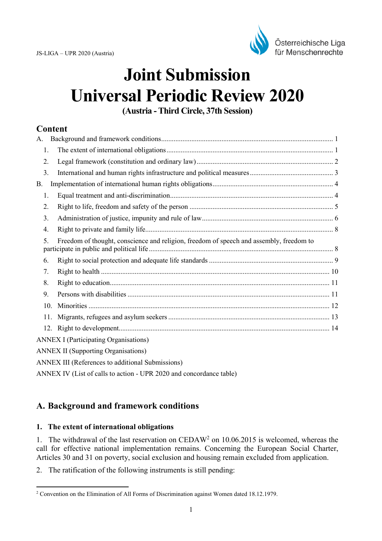

# **Joint Submission Universal Periodic Review 2020**

**(Austria - Third Circle, 37th Session)**

## **Content**

| A.              |                                                                                         |  |
|-----------------|-----------------------------------------------------------------------------------------|--|
| 1.              |                                                                                         |  |
| 2.              |                                                                                         |  |
| 3.              |                                                                                         |  |
| В.              |                                                                                         |  |
| 1.              |                                                                                         |  |
| 2.              |                                                                                         |  |
| 3 <sub>1</sub>  |                                                                                         |  |
| 4.              |                                                                                         |  |
| 5.              | Freedom of thought, conscience and religion, freedom of speech and assembly, freedom to |  |
| 6.              |                                                                                         |  |
| 7.              |                                                                                         |  |
| 8.              |                                                                                         |  |
| 9.              |                                                                                         |  |
| 10 <sub>1</sub> |                                                                                         |  |
|                 | 11.                                                                                     |  |
|                 |                                                                                         |  |
|                 | <b>ANNEX I (Participating Organisations)</b>                                            |  |
|                 | <b>ANNEX II (Supporting Organisations)</b>                                              |  |
|                 | ANNEX III (References to additional Submissions)                                        |  |
|                 | ANNEX IV (List of calls to action - UPR 2020 and concordance table)                     |  |

# **A. Background and framework conditions**

## **1. The extent of international obligations**

1. The withdrawal of the last reservation on CEDAW<sup>2</sup> on 10.06.2015 is welcomed, whereas the call for effective national implementation remains. Concerning the European Social Charter, Articles 30 and 31 on poverty, social exclusion and housing remain excluded from application.

2. The ratification of the following instruments is still pending:

 2 Convention on the Elimination of All Forms of Discrimination against Women dated 18.12.1979.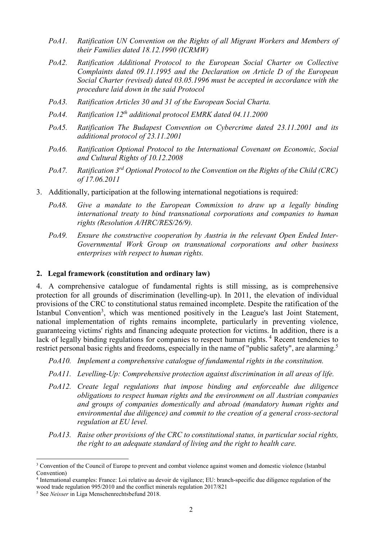- *PoA1. Ratification UN Convention on the Rights of all Migrant Workers and Members of their Families dated 18.12.1990 (ICRMW)*
- *PoA2. Ratification Additional Protocol to the European Social Charter on Collective Complaints dated 09.11.1995 and the Declaration on Article D of the European Social Charter (revised) dated 03.05.1996 must be accepted in accordance with the procedure laid down in the said Protocol*
- *PoA3. Ratification Articles 30 and 31 of the European Social Charta.*
- *PoA4. Ratification 12th additional protocol EMRK dated 04.11.2000*
- *PoA5. Ratification The Budapest Convention on Cybercrime dated 23.11.2001 and its additional protocol of 23.11.2001*
- *PoA6. Ratification Optional Protocol to the International Covenant on Economic, Social and Cultural Rights of 10.12.2008*
- *PoA7. Ratification 3rd Optional Protocol to the Convention on the Rights of the Child (CRC) of 17.06.2011*
- 3. Additionally, participation at the following international negotiations is required:
	- *PoA8. Give a mandate to the European Commission to draw up a legally binding international treaty to bind transnational corporations and companies to human rights (Resolution A/HRC/RES/26/9).*
	- *PoA9. Ensure the constructive cooperation by Austria in the relevant Open Ended Inter-Governmental Work Group on transnational corporations and other business enterprises with respect to human rights.*

#### **2. Legal framework (constitution and ordinary law)**

4. A comprehensive catalogue of fundamental rights is still missing, as is comprehensive protection for all grounds of discrimination (levelling-up). In 2011, the elevation of individual provisions of the CRC to constitutional status remained incomplete. Despite the ratification of the Istanbul Convention<sup>3</sup>, which was mentioned positively in the League's last Joint Statement, national implementation of rights remains incomplete, particularly in preventing violence, guaranteeing victims' rights and financing adequate protection for victims. In addition, there is a lack of legally binding regulations for companies to respect human rights.<sup>4</sup> Recent tendencies to restrict personal basic rights and freedoms, especially in the name of "public safety", are alarming.<sup>5</sup>

- *PoA10. Implement a comprehensive catalogue of fundamental rights in the constitution.*
- *PoA11. Levelling-Up: Comprehensive protection against discrimination in all areas of life.*
- *PoA12. Create legal regulations that impose binding and enforceable due diligence obligations to respect human rights and the environment on all Austrian companies and groups of companies domestically and abroad (mandatory human rights and environmental due diligence) and commit to the creation of a general cross-sectoral regulation at EU level.*
- *PoA13. Raise other provisions of the CRC to constitutional status, in particular social rights, the right to an adequate standard of living and the right to health care.*

<sup>&</sup>lt;sup>3</sup> Convention of the Council of Europe to prevent and combat violence against women and domestic violence (Istanbul Convention)

<sup>4</sup> International examples: France: Loi relative au devoir de vigilance; EU: branch-specific due diligence regulation of the wood trade regulation 995/2010 and the conflict minerals regulation 2017/821

<sup>5</sup> See *Neisser* in Liga Menschenrechtsbefund 2018.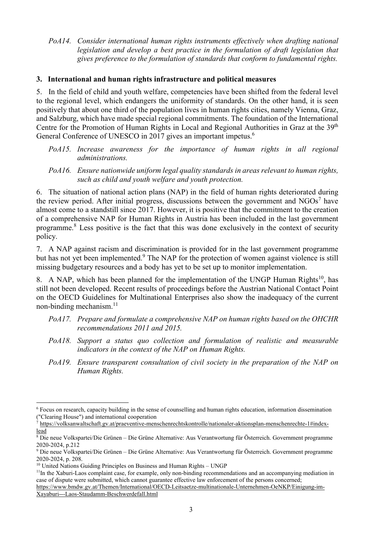*PoA14. Consider international human rights instruments effectively when drafting national legislation and develop a best practice in the formulation of draft legislation that gives preference to the formulation of standards that conform to fundamental rights.* 

#### **3. International and human rights infrastructure and political measures**

5. In the field of child and youth welfare, competencies have been shifted from the federal level to the regional level, which endangers the uniformity of standards. On the other hand, it is seen positively that about one third of the population lives in human rights cities, namely Vienna, Graz, and Salzburg, which have made special regional commitments. The foundation of the International Centre for the Promotion of Human Rights in Local and Regional Authorities in Graz at the 39<sup>th</sup> General Conference of UNESCO in 2017 gives an important impetus.<sup>6</sup>

- *PoA15. Increase awareness for the importance of human rights in all regional administrations.*
- *PoA16. Ensure nationwide uniform legal quality standards in areas relevant to human rights, such as child and youth welfare and youth protection.*

6. The situation of national action plans (NAP) in the field of human rights deteriorated during the review period. After initial progress, discussions between the government and  $NGOs<sup>7</sup>$  have almost come to a standstill since 2017. However, it is positive that the commitment to the creation of a comprehensive NAP for Human Rights in Austria has been included in the last government programme.<sup>8</sup> Less positive is the fact that this was done exclusively in the context of security policy.

7. A NAP against racism and discrimination is provided for in the last government programme but has not yet been implemented.<sup>9</sup> The NAP for the protection of women against violence is still missing budgetary resources and a body has yet to be set up to monitor implementation.

8. A NAP, which has been planned for the implementation of the UNGP Human Rights<sup>10</sup>, has still not been developed. Recent results of proceedings before the Austrian National Contact Point on the OECD Guidelines for Multinational Enterprises also show the inadequacy of the current non-binding mechanism.<sup>11</sup>

- *PoA17. Prepare and formulate a comprehensive NAP on human rights based on the OHCHR recommendations 2011 and 2015.*
- *PoA18. Support a status quo collection and formulation of realistic and measurable indicators in the context of the NAP on Human Rights.*
- *PoA19. Ensure transparent consultation of civil society in the preparation of the NAP on Human Rights.*

<sup>6</sup> Focus on research, capacity building in the sense of counselling and human rights education, information dissemination ("Clearing House") and international cooperation

<sup>7</sup> https://volksanwaltschaft.gv.at/praeventive-menschenrechtskontrolle/nationaler-aktionsplan-menschenrechte-1#indexlead

<sup>8</sup> Die neue Volkspartei/Die Grünen – Die Grüne Alternative: Aus Verantwortung für Österreich. Government programme 2020-2024, p.212

<sup>9</sup> Die neue Volkspartei/Die Grünen – Die Grüne Alternative: Aus Verantwortung für Österreich. Government programme 2020-2024, p. 208.

<sup>&</sup>lt;sup>10</sup> United Nations Guiding Principles on Business and Human Rights – UNGP

<sup>&</sup>lt;sup>11</sup>In the Xaburi-Laos complaint case, for example, only non-binding recommendations and an accompanying mediation in case of dispute were submitted, which cannot guarantee effective law enforcement of the persons concerned;

https://www.bmdw.gv.at/Themen/International/OECD-Leitsaetze-multinationale-Unternehmen-OeNKP/Einigung-im-Xayaburi---Laos-Staudamm-Beschwerdefall.html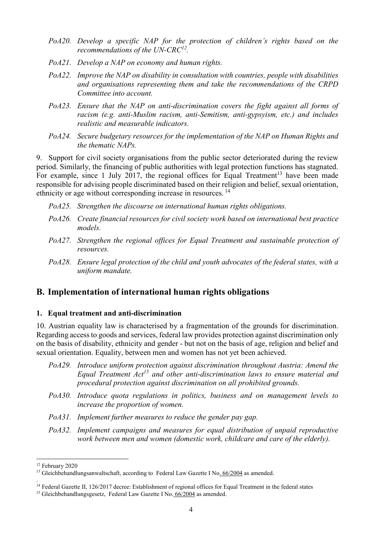- *PoA20. Develop a specific NAP for the protection of children's rights based on the recommendations of the UN-CRC<sup>12</sup> .*
- *PoA21. Develop a NAP on economy and human rights.*
- *PoA22. Improve the NAP on disability in consultation with countries, people with disabilities and organisations representing them and take the recommendations of the CRPD Committee into account.*
- *PoA23. Ensure that the NAP on anti-discrimination covers the fight against all forms of racism (e.g. anti-Muslim racism, anti-Semitism, anti-gypsyism, etc.) and includes realistic and measurable indicators.*
- *PoA24. Secure budgetary resources for the implementation of the NAP on Human Rights and the thematic NAPs.*

9. Support for civil society organisations from the public sector deteriorated during the review period. Similarly, the financing of public authorities with legal protection functions has stagnated. For example, since 1 July 2017, the regional offices for Equal Treatment<sup>13</sup> have been made responsible for advising people discriminated based on their religion and belief, sexual orientation, ethnicity or age without corresponding increase in resources.<sup>14</sup>

- *PoA25. Strengthen the discourse on international human rights obligations.*
- *PoA26. Create financial resources for civil society work based on international best practice models.*
- *PoA27. Strengthen the regional offices for Equal Treatment and sustainable protection of resources.*
- *PoA28. Ensure legal protection of the child and youth advocates of the federal states, with a uniform mandate.*

## **B. Implementation of international human rights obligations**

#### **1. Equal treatment and anti-discrimination**

10. Austrian equality law is characterised by a fragmentation of the grounds for discrimination. Regarding access to goods and services, federal law provides protection against discrimination only on the basis of disability, ethnicity and gender - but not on the basis of age, religion and belief and sexual orientation. Equality, between men and women has not yet been achieved.

- *PoA29. Introduce uniform protection against discrimination throughout Austria: Amend the Equal Treatment Act<sup>15</sup> and other anti-discrimination laws to ensure material and procedural protection against discrimination on all prohibited grounds.*
- *PoA30. Introduce quota regulations in politics, business and on management levels to increase the proportion of women.*
- *PoA31. Implement further measures to reduce the gender pay gap.*
- *PoA32. Implement campaigns and measures for equal distribution of unpaid reproductive work between men and women (domestic work, childcare and care of the elderly).*

<sup>12</sup> February 2020

<sup>&</sup>lt;sup>13</sup> Gleichbehandlungsanwaltschaft, according to Federal Law Gazette I No. 66/2004 as amended.

<sup>.</sup>  <sup>14</sup> Federal Gazette II, 126/2017 decree: Establishment of regional offices for Equal Treatment in the federal states <sup>15</sup> Gleichbehandlungsgesetz, Federal Law Gazette I No. 66/2004 as amended.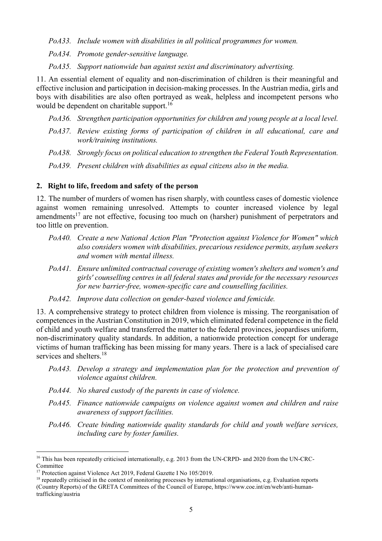*PoA33. Include women with disabilities in all political programmes for women.* 

*PoA34. Promote gender-sensitive language.* 

*PoA35. Support nationwide ban against sexist and discriminatory advertising.* 

11. An essential element of equality and non-discrimination of children is their meaningful and effective inclusion and participation in decision-making processes. In the Austrian media, girls and boys with disabilities are also often portrayed as weak, helpless and incompetent persons who would be dependent on charitable support.<sup>16</sup>

*PoA36. Strengthen participation opportunities for children and young people at a local level.* 

- *PoA37. Review existing forms of participation of children in all educational, care and work/training institutions.*
- *PoA38. Strongly focus on political education to strengthen the Federal Youth Representation.*
- *PoA39. Present children with disabilities as equal citizens also in the media.*

#### **2. Right to life, freedom and safety of the person**

12. The number of murders of women has risen sharply, with countless cases of domestic violence against women remaining unresolved. Attempts to counter increased violence by legal amendments<sup>17</sup> are not effective, focusing too much on (harsher) punishment of perpetrators and too little on prevention.

- *PoA40. Create a new National Action Plan "Protection against Violence for Women" which also considers women with disabilities, precarious residence permits, asylum seekers and women with mental illness.*
- *PoA41. Ensure unlimited contractual coverage of existing women's shelters and women's and girls' counselling centres in all federal states and provide for the necessary resources for new barrier-free, women-specific care and counselling facilities.*
- *PoA42. Improve data collection on gender-based violence and femicide.*

13. A comprehensive strategy to protect children from violence is missing. The reorganisation of competences in the Austrian Constitution in 2019, which eliminated federal competence in the field of child and youth welfare and transferred the matter to the federal provinces, jeopardises uniform, non-discriminatory quality standards. In addition, a nationwide protection concept for underage victims of human trafficking has been missing for many years. There is a lack of specialised care services and shelters.<sup>18</sup>

- *PoA43. Develop a strategy and implementation plan for the protection and prevention of violence against children.*
- *PoA44. No shared custody of the parents in case of violence.*
- *PoA45. Finance nationwide campaigns on violence against women and children and raise awareness of support facilities.*
- *PoA46. Create binding nationwide quality standards for child and youth welfare services, including care by foster families.*

<sup>&</sup>lt;sup>16</sup> This has been repeatedly criticised internationally, e.g. 2013 from the UN-CRPD- and 2020 from the UN-CRC-Committee

<sup>&</sup>lt;sup>17</sup> Protection against Violence Act 2019, Federal Gazette I No 105/2019.

<sup>&</sup>lt;sup>18</sup> repeatedly criticised in the context of monitoring processes by international organisations, e.g. Evaluation reports (Country Reports) of the GRETA Committees of the Council of Europe, https://www.coe.int/en/web/anti-humantrafficking/austria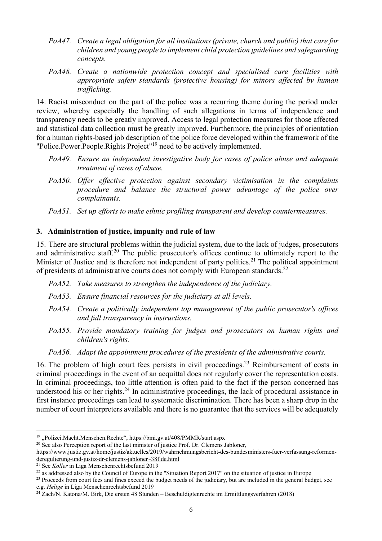- *PoA47. Create a legal obligation for all institutions (private, church and public) that care for children and young people to implement child protection guidelines and safeguarding concepts.*
- *PoA48. Create a nationwide protection concept and specialised care facilities with appropriate safety standards (protective housing) for minors affected by human trafficking.*

14. Racist misconduct on the part of the police was a recurring theme during the period under review, whereby especially the handling of such allegations in terms of independence and transparency needs to be greatly improved. Access to legal protection measures for those affected and statistical data collection must be greatly improved. Furthermore, the principles of orientation for a human rights-based job description of the police force developed within the framework of the "Police.Power.People.Rights Project"<sup>19</sup> need to be actively implemented.

- *PoA49. Ensure an independent investigative body for cases of police abuse and adequate treatment of cases of abuse.*
- *PoA50. Offer effective protection against secondary victimisation in the complaints procedure and balance the structural power advantage of the police over complainants.*
- *PoA51. Set up efforts to make ethnic profiling transparent and develop countermeasures.*

## **3. Administration of justice, impunity and rule of law**

15. There are structural problems within the judicial system, due to the lack of judges, prosecutors and administrative staff.<sup>20</sup> The public prosecutor's offices continue to ultimately report to the Minister of Justice and is therefore not independent of party politics.<sup>21</sup> The political appointment of presidents at administrative courts does not comply with European standards.<sup>22</sup>

- *PoA52. Take measures to strengthen the independence of the judiciary.*
- *PoA53. Ensure financial resources for the judiciary at all levels.*
- *PoA54. Create a politically independent top management of the public prosecutor's offices and full transparency in instructions.*
- *PoA55. Provide mandatory training for judges and prosecutors on human rights and children's rights.*
- *PoA56. Adapt the appointment procedures of the presidents of the administrative courts.*

16. The problem of high court fees persists in civil proceedings.<sup>23</sup> Reimbursement of costs in criminal proceedings in the event of an acquittal does not regularly cover the representation costs. In criminal proceedings, too little attention is often paid to the fact if the person concerned has understood his or her rights.<sup>24</sup> In administrative proceedings, the lack of procedural assistance in first instance proceedings can lead to systematic discrimination. There has been a sharp drop in the number of court interpreters available and there is no guarantee that the services will be adequately

<sup>&</sup>lt;sup>19</sup> "Polizei.Macht.Menschen.Rechte", https://bmi.gv.at/408/PMMR/start.aspx

<sup>&</sup>lt;sup>20</sup> See also Perception report of the last minister of justice Prof. Dr. Clemens Jabloner,

https://www.justiz.gv.at/home/justiz/aktuelles/2019/wahrnehmungsbericht-des-bundesministers-fuer-verfassung-reformenderegulierung-und-justiz-dr-clemens-jabloner~38f.de.html

<sup>&</sup>lt;sup>21</sup> See *Koller* in Liga Menschenrechtsbefund 2019

 $^{22}$  as addressed also by the Council of Europe in the "Situation Report 2017" on the situation of justice in Europe

<sup>&</sup>lt;sup>23</sup> Proceeds from court fees and fines exceed the budget needs of the judiciary, but are included in the general budget, see e.g. *Helige* in Liga Menschenrechtsbefund 2019

<sup>&</sup>lt;sup>24</sup> Zach/N. Katona/M. Birk, Die ersten 48 Stunden – Beschuldigtenrechte im Ermittlungsverfahren (2018)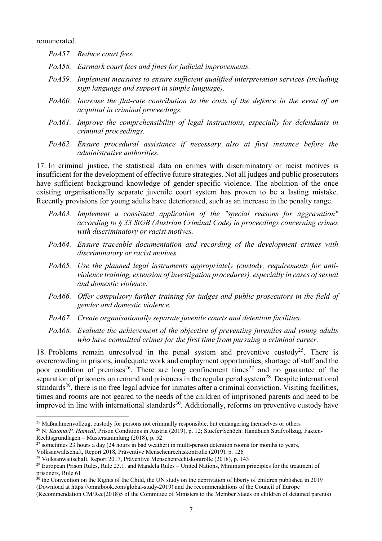remunerated.

l

- *PoA57. Reduce court fees.*
- *PoA58. Earmark court fees and fines for judicial improvements.*
- *PoA59. Implement measures to ensure sufficient qualified interpretation services (including sign language and support in simple language).*
- *PoA60. Increase the flat-rate contribution to the costs of the defence in the event of an acquittal in criminal proceedings.*
- *PoA61. Improve the comprehensibility of legal instructions, especially for defendants in criminal proceedings.*
- *PoA62. Ensure procedural assistance if necessary also at first instance before the administrative authorities.*

17. In criminal justice, the statistical data on crimes with discriminatory or racist motives is insufficient for the development of effective future strategies. Not all judges and public prosecutors have sufficient background knowledge of gender-specific violence. The abolition of the once existing organisationally separate juvenile court system has proven to be a lasting mistake. Recently provisions for young adults have deteriorated, such as an increase in the penalty range.

- *PoA63. Implement a consistent application of the "special reasons for aggravation" according to § 33 StGB (Austrian Criminal Code) in proceedings concerning crimes with discriminatory or racist motives.*
- *PoA64. Ensure traceable documentation and recording of the development crimes with discriminatory or racist motives.*
- *PoA65. Use the planned legal instruments appropriately (custody, requirements for antiviolence training, extension of investigation procedures), especially in cases of sexual and domestic violence.*
- *PoA66. Offer compulsory further training for judges and public prosecutors in the field of gender and domestic violence.*
- *PoA67. Create organisationally separate juvenile courts and detention facilities.*
- *PoA68. Evaluate the achievement of the objective of preventing juveniles and young adults who have committed crimes for the first time from pursuing a criminal career.*

18. Problems remain unresolved in the penal system and preventive custody<sup>25</sup>. There is overcrowding in prisons, inadequate work and employment opportunities, shortage of staff and the poor condition of premises  $26$ . There are long confinement times  $27$  and no guarantee of the separation of prisoners on remand and prisoners in the regular penal system<sup>28</sup>. Despite international standards<sup>29</sup>, there is no free legal advice for inmates after a criminal conviction. Visiting facilities, times and rooms are not geared to the needs of the children of imprisoned parents and need to be improved in line with international standards<sup>30</sup>. Additionally, reforms on preventive custody have

<sup>&</sup>lt;sup>25</sup> Maßnahmenvollzug, custody for persons not criminally responsible, but endangering themselves or others

<sup>&</sup>lt;sup>26</sup> N. *Katona/P. Hamedl*, Prison Conditions in Austria (2019), p. 12; Stuefer/Schöch: Handbuch Strafvollzug, Fakten-Rechtsgrundlagen – Mustersammlung (2018), p. 52

 $27$  sometimes 23 hours a day (24 hours in bad weather) in multi-person detention rooms for months to years,

Volksanwaltschaft, Report 2018, Präventive Menschenrechtskontrolle (2019), p. 126

<sup>28</sup> Volksanwaltschaft, Report 2017, Präventive Menschenrechtskontrolle (2018), p. 143

<sup>&</sup>lt;sup>29</sup> European Prison Rules, Rule 23.1. and Mandela Rules – United Nations, Minimum principles for the treatment of prisoners, Rule 61

 $30$  the Convention on the Rights of the Child, the UN study on the deprivation of liberty of children published in 2019 (Download at https://omnibook.com/global-study-2019) and the recommendations of the Council of Europe

<sup>(</sup>Recommendation CM/Rec(2018)5 of the Committee of Ministers to the Member States on children of detained parents)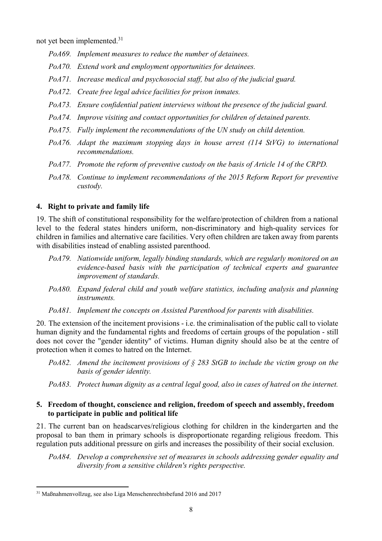not yet been implemented.<sup>31</sup>

- *PoA69. Implement measures to reduce the number of detainees.*
- *PoA70. Extend work and employment opportunities for detainees.*
- *PoA71. Increase medical and psychosocial staff, but also of the judicial guard.*
- *PoA72. Create free legal advice facilities for prison inmates.*
- *PoA73. Ensure confidential patient interviews without the presence of the judicial guard.*
- *PoA74. Improve visiting and contact opportunities for children of detained parents.*
- *PoA75. Fully implement the recommendations of the UN study on child detention.*
- *PoA76. Adapt the maximum stopping days in house arrest (114 StVG) to international recommendations.*
- *PoA77. Promote the reform of preventive custody on the basis of Article 14 of the CRPD.*
- *PoA78. Continue to implement recommendations of the 2015 Reform Report for preventive custody.*

## **4. Right to private and family life**

19. The shift of constitutional responsibility for the welfare/protection of children from a national level to the federal states hinders uniform, non-discriminatory and high-quality services for children in families and alternative care facilities. Very often children are taken away from parents with disabilities instead of enabling assisted parenthood.

- *PoA79. Nationwide uniform, legally binding standards, which are regularly monitored on an evidence-based basis with the participation of technical experts and guarantee improvement of standards.*
- *PoA80. Expand federal child and youth welfare statistics, including analysis and planning instruments.*
- *PoA81. Implement the concepts on Assisted Parenthood for parents with disabilities.*

20. The extension of the incitement provisions - i.e. the criminalisation of the public call to violate human dignity and the fundamental rights and freedoms of certain groups of the population - still does not cover the "gender identity" of victims. Human dignity should also be at the centre of protection when it comes to hatred on the Internet.

- *PoA82. Amend the incitement provisions of § 283 StGB to include the victim group on the basis of gender identity.*
- *PoA83. Protect human dignity as a central legal good, also in cases of hatred on the internet.*

#### **5. Freedom of thought, conscience and religion, freedom of speech and assembly, freedom to participate in public and political life**

21. The current ban on headscarves/religious clothing for children in the kindergarten and the proposal to ban them in primary schools is disproportionate regarding religious freedom. This regulation puts additional pressure on girls and increases the possibility of their social exclusion.

*PoA84. Develop a comprehensive set of measures in schools addressing gender equality and diversity from a sensitive children's rights perspective.* 

<sup>31</sup> Maßnahmenvollzug, see also Liga Menschenrechtsbefund 2016 and 2017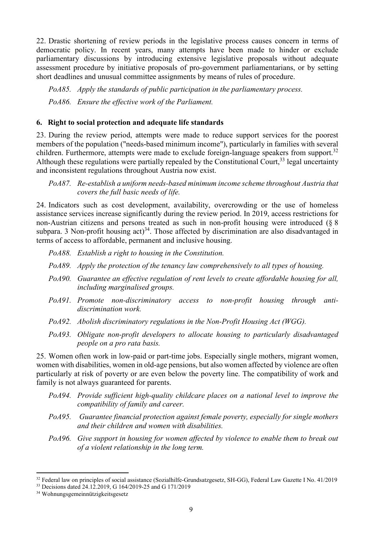22. Drastic shortening of review periods in the legislative process causes concern in terms of democratic policy. In recent years, many attempts have been made to hinder or exclude parliamentary discussions by introducing extensive legislative proposals without adequate assessment procedure by initiative proposals of pro-government parliamentarians, or by setting short deadlines and unusual committee assignments by means of rules of procedure.

*PoA85. Apply the standards of public participation in the parliamentary process. PoA86. Ensure the effective work of the Parliament.* 

#### **6. Right to social protection and adequate life standards**

23. During the review period, attempts were made to reduce support services for the poorest members of the population ("needs-based minimum income"), particularly in families with several children. Furthermore, attempts were made to exclude foreign-language speakers from support.<sup>32</sup> Although these regulations were partially repealed by the Constitutional Court,  $33$  legal uncertainty and inconsistent regulations throughout Austria now exist.

#### *PoA87. Re-establish a uniform needs-based minimum income scheme throughout Austria that covers the full basic needs of life.*

24. Indicators such as cost development, availability, overcrowding or the use of homeless assistance services increase significantly during the review period. In 2019, access restrictions for non-Austrian citizens and persons treated as such in non-profit housing were introduced (§ 8 subpara. 3 Non-profit housing act)<sup>34</sup>. Those affected by discrimination are also disadvantaged in terms of access to affordable, permanent and inclusive housing.

- *PoA88. Establish a right to housing in the Constitution.*
- *PoA89. Apply the protection of the tenancy law comprehensively to all types of housing.*
- *PoA90. Guarantee an effective regulation of rent levels to create affordable housing for all, including marginalised groups.*
- *PoA91. Promote non-discriminatory access to non-profit housing through antidiscrimination work.*
- *PoA92. Abolish discriminatory regulations in the Non-Profit Housing Act (WGG).*
- *PoA93. Obligate non-profit developers to allocate housing to particularly disadvantaged people on a pro rata basis.*

25. Women often work in low-paid or part-time jobs. Especially single mothers, migrant women, women with disabilities, women in old-age pensions, but also women affected by violence are often particularly at risk of poverty or are even below the poverty line. The compatibility of work and family is not always guaranteed for parents.

- *PoA94. Provide sufficient high-quality childcare places on a national level to improve the compatibility of family and career.*
- *PoA95. Guarantee financial protection against female poverty, especially for single mothers and their children and women with disabilities.*
- *PoA96. Give support in housing for women affected by violence to enable them to break out of a violent relationship in the long term.*

<sup>&</sup>lt;sup>32</sup> Federal law on principles of social assistance (Sozialhilfe-Grundsatzgesetz, SH-GG), Federal Law Gazette I No. 41/2019

<sup>33</sup> Decisions dated 24.12.2019, G 164/2019-25 and G 171/2019

<sup>34</sup> Wohnungsgemeinnützigkeitsgesetz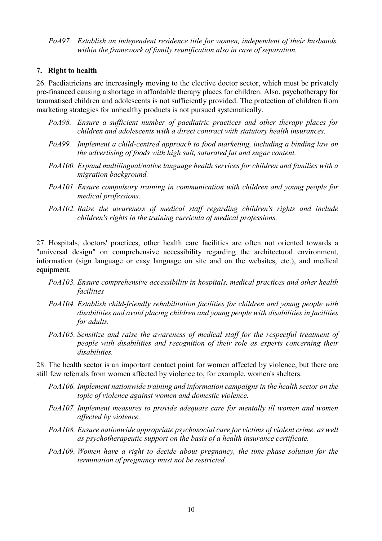*PoA97. Establish an independent residence title for women, independent of their husbands, within the framework of family reunification also in case of separation.* 

#### **7. Right to health**

26. Paediatricians are increasingly moving to the elective doctor sector, which must be privately pre-financed causing a shortage in affordable therapy places for children. Also, psychotherapy for traumatised children and adolescents is not sufficiently provided. The protection of children from marketing strategies for unhealthy products is not pursued systematically.

- *PoA98. Ensure a sufficient number of paediatric practices and other therapy places for children and adolescents with a direct contract with statutory health insurances.*
- *PoA99. Implement a child-centred approach to food marketing, including a binding law on the advertising of foods with high salt, saturated fat and sugar content.*
- *PoA100. Expand multilingual/native language health services for children and families with a migration background.*
- *PoA101. Ensure compulsory training in communication with children and young people for medical professions.*
- *PoA102. Raise the awareness of medical staff regarding children's rights and include children's rights in the training curricula of medical professions.*

27. Hospitals, doctors' practices, other health care facilities are often not oriented towards a "universal design" on comprehensive accessibility regarding the architectural environment, information (sign language or easy language on site and on the websites, etc.), and medical equipment.

- *PoA103. Ensure comprehensive accessibility in hospitals, medical practices and other health facilities*
- *PoA104. Establish child-friendly rehabilitation facilities for children and young people with disabilities and avoid placing children and young people with disabilities in facilities for adults.*
- *PoA105. Sensitize and raise the awareness of medical staff for the respectful treatment of people with disabilities and recognition of their role as experts concerning their disabilities.*

28. The health sector is an important contact point for women affected by violence, but there are still few referrals from women affected by violence to, for example, women's shelters.

- *PoA106. Implement nationwide training and information campaigns in the health sector on the topic of violence against women and domestic violence.*
- *PoA107. Implement measures to provide adequate care for mentally ill women and women affected by violence.*
- *PoA108. Ensure nationwide appropriate psychosocial care for victims of violent crime, as well as psychotherapeutic support on the basis of a health insurance certificate.*
- *PoA109. Women have a right to decide about pregnancy, the time-phase solution for the termination of pregnancy must not be restricted.*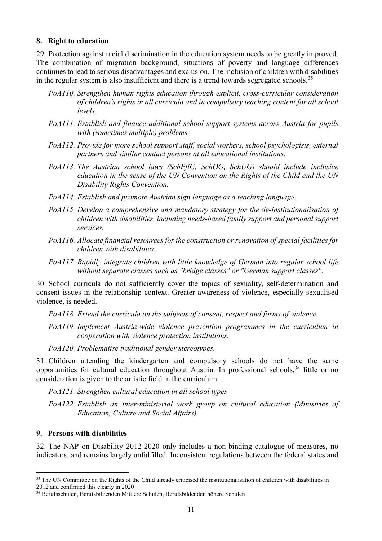#### **8. Right to education**

29. Protection against racial discrimination in the education system needs to be greatly improved. The combination of migration background, situations of poverty and language differences continues to lead to serious disadvantages and exclusion. The inclusion of children with disabilities in the regular system is also insufficient and there is a trend towards segregated schools.<sup>35</sup>

- *PoA110. Strengthen human rights education through explicit, cross-curricular consideration of children's rights in all curricula and in compulsory teaching content for all school levels.*
- *PoA111. Establish and finance additional school support systems across Austria for pupils with (sometimes multiple) problems.*
- *PoA112. Provide for more school support staff, social workers, school psychologists, external partners and similar contact persons at all educational institutions.*
- *PoA113. The Austrian school laws (SchPflG, SchOG, SchUG) should include inclusive education in the sense of the UN Convention on the Rights of the Child and the UN Disability Rights Convention.*
- *PoA114. Establish and promote Austrian sign language as a teaching language.*
- *PoA115. Develop a comprehensive and mandatory strategy for the de-institutionalisation of children with disabilities, including needs-based family support and personal support services.*
- *PoA116. Allocate financial resources for the construction or renovation of special facilities for children with disabilities.*
- *PoA117. Rapidly integrate children with little knowledge of German into regular school life without separate classes such as "bridge classes" or "German support classes".*

30. School curricula do not sufficiently cover the topics of sexuality, self-determination and consent issues in the relationship context. Greater awareness of violence, especially sexualised violence, is needed.

*PoA118. Extend the curricula on the subjects of consent, respect and forms of violence.* 

*PoA119. Implement Austria-wide violence prevention programmes in the curriculum in cooperation with violence protection institutions.* 

*PoA120. Problematise traditional gender stereotypes.* 

31. Children attending the kindergarten and compulsory schools do not have the same opportunities for cultural education throughout Austria. In professional schools,<sup>36</sup> little or no consideration is given to the artistic field in the curriculum.

*PoA121. Strengthen cultural education in all school types* 

*PoA122. Establish an inter-ministerial work group on cultural education (Ministries of Education, Culture and Social Affairs).* 

## **9. Persons with disabilities**

 $\overline{a}$ 

32. The NAP on Disability 2012-2020 only includes a non-binding catalogue of measures, no indicators, and remains largely unfulfilled. Inconsistent regulations between the federal states and

<sup>&</sup>lt;sup>35</sup> The UN Committee on the Rights of the Child already criticised the institutionalisation of children with disabilities in 2012 and confirmed this clearly in 2020

<sup>36</sup> Berufsschulen, Berufsbildenden Mittlere Schulen, Berufsbildenden höhere Schulen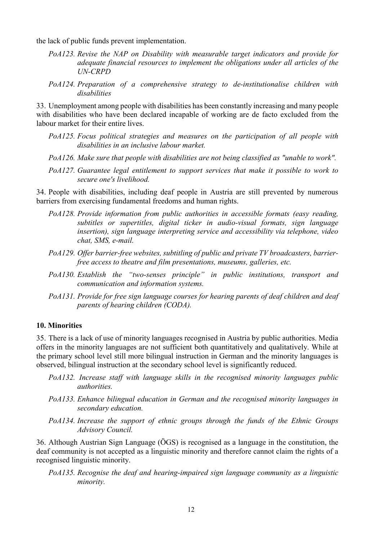the lack of public funds prevent implementation.

- *PoA123. Revise the NAP on Disability with measurable target indicators and provide for adequate financial resources to implement the obligations under all articles of the UN-CRPD*
- *PoA124. Preparation of a comprehensive strategy to de-institutionalise children with disabilities*

33. Unemployment among people with disabilities has been constantly increasing and many people with disabilities who have been declared incapable of working are de facto excluded from the labour market for their entire lives.

- *PoA125. Focus political strategies and measures on the participation of all people with disabilities in an inclusive labour market.*
- *PoA126. Make sure that people with disabilities are not being classified as "unable to work".*
- *PoA127. Guarantee legal entitlement to support services that make it possible to work to secure one's livelihood.*

34. People with disabilities, including deaf people in Austria are still prevented by numerous barriers from exercising fundamental freedoms and human rights.

- *PoA128. Provide information from public authorities in accessible formats (easy reading, subtitles or supertitles, digital ticker in audio-visual formats, sign language insertion), sign language interpreting service and accessibility via telephone, video chat, SMS, e-mail.*
- *PoA129. Offer barrier-free websites, subtitling of public and private TV broadcasters, barrierfree access to theatre and film presentations, museums, galleries, etc.*
- *PoA130. Establish the "two-senses principle" in public institutions, transport and communication and information systems.*
- *PoA131. Provide for free sign language courses for hearing parents of deaf children and deaf parents of hearing children (CODA).*

#### **10. Minorities**

35. There is a lack of use of minority languages recognised in Austria by public authorities. Media offers in the minority languages are not sufficient both quantitatively and qualitatively. While at the primary school level still more bilingual instruction in German and the minority languages is observed, bilingual instruction at the secondary school level is significantly reduced.

- *PoA132. Increase staff with language skills in the recognised minority languages public authorities.*
- *PoA133. Enhance bilingual education in German and the recognised minority languages in secondary education.*
- *PoA134. Increase the support of ethnic groups through the funds of the Ethnic Groups Advisory Council.*

36. Although Austrian Sign Language (ÖGS) is recognised as a language in the constitution, the deaf community is not accepted as a linguistic minority and therefore cannot claim the rights of a recognised linguistic minority.

*PoA135. Recognise the deaf and hearing-impaired sign language community as a linguistic minority.*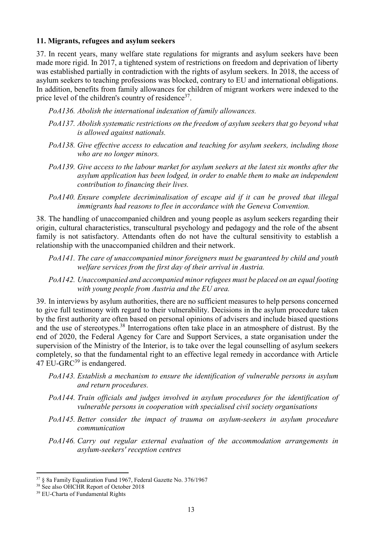#### **11. Migrants, refugees and asylum seekers**

37. In recent years, many welfare state regulations for migrants and asylum seekers have been made more rigid. In 2017, a tightened system of restrictions on freedom and deprivation of liberty was established partially in contradiction with the rights of asylum seekers. In 2018, the access of asylum seekers to teaching professions was blocked, contrary to EU and international obligations. In addition, benefits from family allowances for children of migrant workers were indexed to the price level of the children's country of residence<sup>37</sup>.

*PoA136. Abolish the international indexation of family allowances.* 

- *PoA137. Abolish systematic restrictions on the freedom of asylum seekers that go beyond what is allowed against nationals.*
- *PoA138. Give effective access to education and teaching for asylum seekers, including those who are no longer minors.*
- *PoA139. Give access to the labour market for asylum seekers at the latest six months after the asylum application has been lodged, in order to enable them to make an independent contribution to financing their lives.*
- *PoA140. Ensure complete decriminalisation of escape aid if it can be proved that illegal immigrants had reasons to flee in accordance with the Geneva Convention.*

38. The handling of unaccompanied children and young people as asylum seekers regarding their origin, cultural characteristics, transcultural psychology and pedagogy and the role of the absent family is not satisfactory. Attendants often do not have the cultural sensitivity to establish a relationship with the unaccompanied children and their network.

- *PoA141. The care of unaccompanied minor foreigners must be guaranteed by child and youth welfare services from the first day of their arrival in Austria.*
- *PoA142. Unaccompanied and accompanied minor refugees must be placed on an equal footing with young people from Austria and the EU area.*

39. In interviews by asylum authorities, there are no sufficient measures to help persons concerned to give full testimony with regard to their vulnerability. Decisions in the asylum procedure taken by the first authority are often based on personal opinions of advisers and include biased questions and the use of stereotypes.<sup>38</sup> Interrogations often take place in an atmosphere of distrust. By the end of 2020, the Federal Agency for Care and Support Services, a state organisation under the supervision of the Ministry of the Interior, is to take over the legal counselling of asylum seekers completely, so that the fundamental right to an effective legal remedy in accordance with Article  $47$  EU-GRC<sup>39</sup> is endangered.

- *PoA143. Establish a mechanism to ensure the identification of vulnerable persons in asylum and return procedures.*
- *PoA144. Train officials and judges involved in asylum procedures for the identification of vulnerable persons in cooperation with specialised civil society organisations*
- *PoA145. Better consider the impact of trauma on asylum-seekers in asylum procedure communication*
- *PoA146. Carry out regular external evaluation of the accommodation arrangements in asylum-seekers' reception centres*

<sup>37</sup> § 8a Family Equalization Fund 1967, Federal Gazette No. 376/1967

<sup>&</sup>lt;sup>38</sup> See also OHCHR Report of October 2018

<sup>&</sup>lt;sup>39</sup> EU-Charta of Fundamental Rights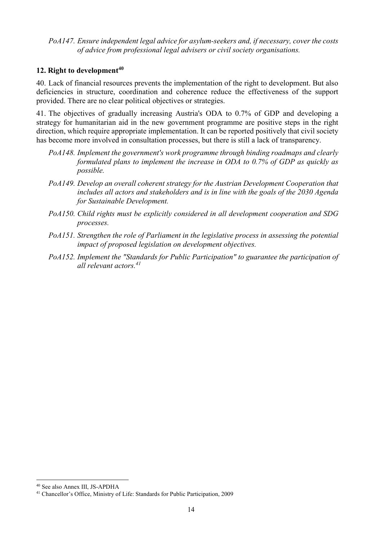*PoA147. Ensure independent legal advice for asylum-seekers and, if necessary, cover the costs of advice from professional legal advisers or civil society organisations.* 

### **12. Right to development<sup>40</sup>**

40. Lack of financial resources prevents the implementation of the right to development. But also deficiencies in structure, coordination and coherence reduce the effectiveness of the support provided. There are no clear political objectives or strategies.

41. The objectives of gradually increasing Austria's ODA to 0.7% of GDP and developing a strategy for humanitarian aid in the new government programme are positive steps in the right direction, which require appropriate implementation. It can be reported positively that civil society has become more involved in consultation processes, but there is still a lack of transparency.

- *PoA148. Implement the government's work programme through binding roadmaps and clearly formulated plans to implement the increase in ODA to 0.7% of GDP as quickly as possible.*
- *PoA149. Develop an overall coherent strategy for the Austrian Development Cooperation that includes all actors and stakeholders and is in line with the goals of the 2030 Agenda for Sustainable Development.*
- *PoA150. Child rights must be explicitly considered in all development cooperation and SDG processes.*
- *PoA151. Strengthen the role of Parliament in the legislative process in assessing the potential impact of proposed legislation on development objectives.*
- *PoA152. Implement the "Standards for Public Participation" to guarantee the participation of all relevant actors.<sup>41</sup>*

<sup>40</sup> See also Annex III, JS-APDHA

<sup>41</sup> Chancellor's Office, Ministry of Life: Standards for Public Participation, 2009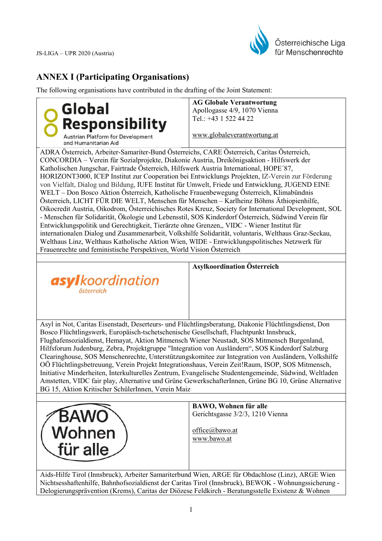

# **ANNEX I (Participating Organisations)**

The following organisations have contributed in the drafting of the Joint Statement:



**AG Globale Verantwortung**  Apollogasse 4/9, 1070 Vienna Tel.: +43 1 522 44 22

www.globaleverantwortung.at

ADRA Österreich, Arbeiter-Samariter-Bund Österreichs, CARE Österreich, Caritas Österreich, CONCORDIA – Verein für Sozialprojekte, Diakonie Austria, Dreikönigsaktion - Hilfswerk der Katholischen Jungschar, Fairtrade Österreich, Hilfswerk Austria International, HOPE´87, HORIZONT3000, ICEP Institut zur Cooperation bei Entwicklungs Projekten, IZ-Verein zur Förderung von Vielfalt, Dialog und Bildung, IUFE Institut für Umwelt, Friede und Entwicklung, JUGEND EINE WELT – Don Bosco Aktion Österreich, Katholische Frauenbewegung Österreich, Klimabündnis Österreich, LICHT FÜR DIE WELT, Menschen für Menschen – Karlheinz Böhms Äthiopienhilfe, Oikocredit Austria, Oikodrom, Österreichisches Rotes Kreuz, Society for International Development, SOL - Menschen für Solidarität, Ökologie und Lebensstil, SOS Kinderdorf Österreich, Südwind Verein für Entwicklungspolitik und Gerechtigkeit, Tierärzte ohne Grenzen,, VIDC - Wiener Institut für internationalen Dialog und Zusammenarbeit, Volkshilfe Solidarität, voluntaris, Welthaus Graz-Seckau, Welthaus Linz, Welthaus Katholische Aktion Wien, WIDE - Entwicklungspolitisches Netzwerk für Frauenrechte und feministische Perspektiven, World Vision Österreich



#### **Asylkoordination Österreich**

Asyl in Not, Caritas Eisenstadt, Deserteurs- und Flüchtlingsberatung, Diakonie Flüchtlingsdienst, Don Bosco Flüchtlingswerk, Europäisch-tschetschenische Gesellschaft, Fluchtpunkt Innsbruck, Flughafensozialdienst, Hemayat, Aktion Mitmensch Wiener Neustadt, SOS Mitmensch Burgenland, Hilfsforum Judenburg, Zebra, Projektgruppe "Integration von Ausländern", SOS Kinderdorf Salzburg Clearinghouse, SOS Menschenrechte, Unterstützungskomitee zur Integration von Ausländern, Volkshilfe OÖ Flüchtlingsbetreuung, Verein Projekt Integrationshaus, Verein Zeit!Raum, ISOP, SOS Mitmensch, Initiative Minderheiten, Interkulturelles Zentrum, Evangelische Studentengemeinde, Südwind, Weltladen Amstetten, VIDC fair play, Alternative und Grüne GewerkschafterInnen, Grüne BG 10, Grüne Alternative BG 15, Aktion Kritischer SchülerInnen, Verein Maiz



**BAWO, Wohnen für alle**  Gerichtsgasse 3/2/3, 1210 Vienna

office@bawo.at www.bawo.at

Aids-Hilfe Tirol (Innsbruck), Arbeiter Samariterbund Wien, ARGE für Obdachlose (Linz), ARGE Wien Nichtsesshaftenhilfe, Bahnhofsozialdienst der Caritas Tirol (Innsbruck), BEWOK - Wohnungssicherung - Delogierungsprävention (Krems), Caritas der Diözese Feldkirch - Beratungsstelle Existenz & Wohnen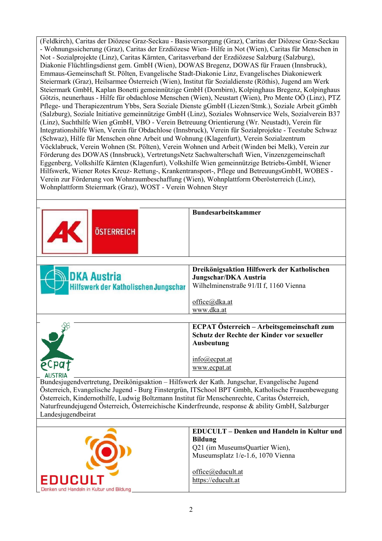(Feldkirch), Caritas der Diözese Graz-Seckau - Basisversorgung (Graz), Caritas der Diözese Graz-Seckau - Wohnungssicherung (Graz), Caritas der Erzdiözese Wien- Hilfe in Not (Wien), Caritas für Menschen in Not - Sozialprojekte (Linz), Caritas Kärnten, Caritasverband der Erzdiözese Salzburg (Salzburg), Diakonie Flüchtlingsdienst gem. GmbH (Wien), DOWAS Bregenz, DOWAS für Frauen (Innsbruck), Emmaus-Gemeinschaft St. Pölten, Evangelische Stadt-Diakonie Linz, Evangelisches Diakoniewerk Steiermark (Graz), Heilsarmee Österreich (Wien), Institut für Sozialdienste (Röthis), Jugend am Werk Steiermark GmbH, Kaplan Bonetti gemeinnützige GmbH (Dornbirn), Kolpinghaus Bregenz, Kolpinghaus Götzis, neunerhaus - Hilfe für obdachlose Menschen (Wien), Neustart (Wien), Pro Mente OÖ (Linz), PTZ Pflege- und Therapiezentrum Ybbs, Sera Soziale Dienste gGmbH (Liezen/Stmk.), Soziale Arbeit gGmbh (Salzburg), Soziale Initiative gemeinnützige GmbH (Linz), Soziales Wohnservice Wels, Sozialverein B37 (Linz), Suchthilfe Wien gGmbH, VBO - Verein Betreuung Orientierung (Wr. Neustadt), Verein für Integrationshilfe Wien, Verein für Obdachlose (Innsbruck), Verein für Sozialprojekte - Teestube Schwaz (Schwaz), Hilfe für Menschen ohne Arbeit und Wohnung (Klagenfurt), Verein Sozialzentrum Vöcklabruck, Verein Wohnen (St. Pölten), Verein Wohnen und Arbeit (Winden bei Melk), Verein zur Förderung des DOWAS (Innsbruck), VertretungsNetz Sachwalterschaft Wien, Vinzenzgemeinschaft Eggenberg, Volkshilfe Kärnten (Klagenfurt), Volkshilfe Wien gemeinnützige Betriebs-GmbH, Wiener Hilfswerk, Wiener Rotes Kreuz- Rettung-, Krankentransport-, Pflege und BetreuungsGmbH, WOBES - Verein zur Förderung von Wohnraumbeschaffung (Wien), Wohnplattform Oberösterreich (Linz), Wohnplattform Steiermark (Graz), WOST - Verein Wohnen Steyr

| ÖSTERREICH                                                                                        | <b>Bundesarbeitskammer</b>                                                                        |
|---------------------------------------------------------------------------------------------------|---------------------------------------------------------------------------------------------------|
|                                                                                                   |                                                                                                   |
|                                                                                                   | Dreikönigsaktion Hilfswerk der Katholischen                                                       |
| <b>DKA Austria</b>                                                                                | Jungschar/DKA Austria                                                                             |
| Hilfswerk der Katholischen Jungschar                                                              | Wilhelminenstraße 91/II f, 1160 Vienna                                                            |
|                                                                                                   |                                                                                                   |
|                                                                                                   | office@dka.at                                                                                     |
|                                                                                                   | www.dka.at                                                                                        |
|                                                                                                   |                                                                                                   |
|                                                                                                   | ECPAT Österreich – Arbeitsgemeinschaft zum                                                        |
|                                                                                                   | Schutz der Rechte der Kinder vor sexueller                                                        |
|                                                                                                   | <b>Ausbeutung</b>                                                                                 |
|                                                                                                   |                                                                                                   |
| eCpa                                                                                              | $info$ <sub>@ecpat.at</sub>                                                                       |
|                                                                                                   | www.ecpat.at                                                                                      |
|                                                                                                   |                                                                                                   |
| Bundesjugendvertretung, Dreikönigsaktion - Hilfswerk der Kath. Jungschar, Evangelische Jugend     |                                                                                                   |
|                                                                                                   | Österreich, Evangelische Jugend - Burg Finstergrün, ITSchool BPT Gmbh, Katholische Frauenbewegung |
| Österreich, Kindernothilfe, Ludwig Boltzmann Institut für Menschenrechte, Caritas Österreich,     |                                                                                                   |
| Naturfreundejugend Österreich, Österreichische Kinderfreunde, response & ability GmbH, Salzburger |                                                                                                   |
| Landesjugendbeirat                                                                                |                                                                                                   |
|                                                                                                   |                                                                                                   |
|                                                                                                   | <b>EDUCULT</b> – Denken und Handeln in Kultur und                                                 |
|                                                                                                   | <b>Bildung</b>                                                                                    |
|                                                                                                   | Q21 (im MuseumsQuartier Wien),                                                                    |
|                                                                                                   | Museumsplatz 1/e-1.6, 1070 Vienna                                                                 |
|                                                                                                   |                                                                                                   |
|                                                                                                   | office@educult.at                                                                                 |

EDUCULT

Denken und Handeln in Kultur und Bildung

https://educult.at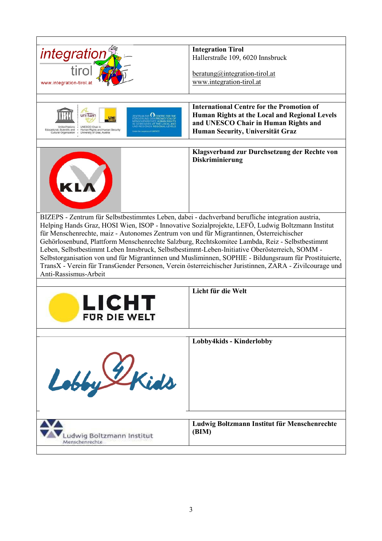| <i>integratior</i>                                                                                                                      | <b>Integration Tirol</b>                                                                               |  |  |  |
|-----------------------------------------------------------------------------------------------------------------------------------------|--------------------------------------------------------------------------------------------------------|--|--|--|
|                                                                                                                                         | Hallerstraße 109, 6020 Innsbruck                                                                       |  |  |  |
| tirol                                                                                                                                   |                                                                                                        |  |  |  |
|                                                                                                                                         | $beratung@integration-triol.at$                                                                        |  |  |  |
| www.integration-tirol.a                                                                                                                 | www.integration-tirol.at                                                                               |  |  |  |
|                                                                                                                                         |                                                                                                        |  |  |  |
|                                                                                                                                         | <b>International Centre for the Promotion of</b>                                                       |  |  |  |
| $_{\rm ENTRUM\ ZUP}$ $\bigcirc$ centre for the<br>uni Twin                                                                              | Human Rights at the Local and Regional Levels                                                          |  |  |  |
|                                                                                                                                         | and UNESCO Chair in Human Rights and                                                                   |  |  |  |
| UNESCO Chair in<br>Educational, Scientific and . Human Rights and Human Security<br>Cultural Organization . University of Graz, Austria | Human Security, Universität Graz                                                                       |  |  |  |
|                                                                                                                                         |                                                                                                        |  |  |  |
|                                                                                                                                         | Klagsverband zur Durchsetzung der Rechte von                                                           |  |  |  |
|                                                                                                                                         | Diskriminierung                                                                                        |  |  |  |
|                                                                                                                                         |                                                                                                        |  |  |  |
|                                                                                                                                         |                                                                                                        |  |  |  |
| KLA                                                                                                                                     |                                                                                                        |  |  |  |
|                                                                                                                                         |                                                                                                        |  |  |  |
|                                                                                                                                         |                                                                                                        |  |  |  |
|                                                                                                                                         |                                                                                                        |  |  |  |
| BIZEPS - Zentrum für Selbstbestimmtes Leben, dabei - dachverband berufliche integration austria,                                        |                                                                                                        |  |  |  |
|                                                                                                                                         | Helping Hands Graz, HOSI Wien, ISOP - Innovative Sozialprojekte, LEFÖ, Ludwig Boltzmann Institut       |  |  |  |
| für Menschenrechte, maiz - Autonomes Zentrum von und für Migrantinnen, Österreichischer                                                 |                                                                                                        |  |  |  |
| Gehörlosenbund, Plattform Menschenrechte Salzburg, Rechtskomitee Lambda, Reiz - Selbstbestimmt                                          |                                                                                                        |  |  |  |
|                                                                                                                                         |                                                                                                        |  |  |  |
| Leben, Selbstbestimmt Leben Innsbruck, Selbstbestimmt-Leben-Initiative Oberösterreich, SOMM -                                           |                                                                                                        |  |  |  |
|                                                                                                                                         | Selbstorganisation von und für Migrantinnen und Musliminnen, SOPHIE - Bildungsraum für Prostituierte,  |  |  |  |
|                                                                                                                                         | TransX - Verein für TransGender Personen, Verein österreichischer Juristinnen, ZARA - Zivilcourage und |  |  |  |
| Anti-Rassismus-Arbeit                                                                                                                   |                                                                                                        |  |  |  |
|                                                                                                                                         |                                                                                                        |  |  |  |
|                                                                                                                                         | Licht für die Welt                                                                                     |  |  |  |
|                                                                                                                                         |                                                                                                        |  |  |  |
| LICHT                                                                                                                                   |                                                                                                        |  |  |  |
| <b>FUR DIE WELT</b>                                                                                                                     |                                                                                                        |  |  |  |
|                                                                                                                                         |                                                                                                        |  |  |  |
|                                                                                                                                         |                                                                                                        |  |  |  |
|                                                                                                                                         | Lobby4kids - Kinderlobby                                                                               |  |  |  |
|                                                                                                                                         |                                                                                                        |  |  |  |
|                                                                                                                                         |                                                                                                        |  |  |  |
|                                                                                                                                         |                                                                                                        |  |  |  |
|                                                                                                                                         |                                                                                                        |  |  |  |
| Lobby Ekids                                                                                                                             |                                                                                                        |  |  |  |
|                                                                                                                                         |                                                                                                        |  |  |  |
|                                                                                                                                         |                                                                                                        |  |  |  |
|                                                                                                                                         |                                                                                                        |  |  |  |
|                                                                                                                                         | Ludwig Boltzmann Institut für Menschenrechte                                                           |  |  |  |
|                                                                                                                                         | (BIM)                                                                                                  |  |  |  |
| Ludwig Boltzmann Institut<br>Menschenrechte                                                                                             |                                                                                                        |  |  |  |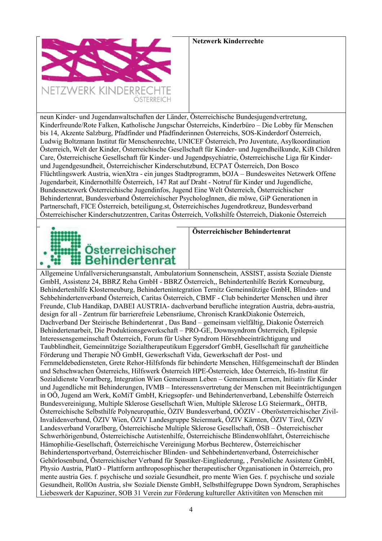

neun Kinder- und Jugendanwaltschaften der Länder, Österreichische Bundesjugendvertretung, Kinderfreunde/Rote Falken, Katholische Jungschar Österreichs, Kinderbüro – Die Lobby für Menschen bis 14, Akzente Salzburg, Pfadfinder und Pfadfinderinnen Österreichs, SOS-Kinderdorf Österreich, Ludwig Boltzmann Institut für Menschenrechte, UNICEF Österreich, Pro Juventute, Asylkoordination Österreich, Welt der Kinder, Österreichische Gesellschaft für Kinder- und Jugendheilkunde, KiB Children Care, Österreichische Gesellschaft für Kinder- und Jugendpsychiatrie, Österreichische Liga für Kinderund Jugendgesundheit, Österreichischer Kinderschutzbund, ECPAT Österreich, Don Bosco Flüchtlingswerk Austria, wienXtra - ein junges Stadtprogramm, bOJA – Bundesweites Netzwerk Offene Jugendarbeit, Kindernothilfe Österreich, 147 Rat auf Draht - Notruf für Kinder und Jugendliche, Bundesnetzwerk Österreichische Jugendinfos, Jugend Eine Welt Österreich, Österreichischer Behindertenrat, Bundesverband Österreichischer PsychologInnen, die möwe, GiP Generationen in Partnerschaft, FICE Österreich, beteiligung.st, Österreichisches Jugendrotkreuz, Bundesverband Österreichischer Kinderschutzzentren, Caritas Österreich, Volkshilfe Österreich, Diakonie Österreich



#### **Österreichischer Behindertenrat**

Allgemeine Unfallversicherungsanstalt, Ambulatorium Sonnenschein, ASSIST, assista Soziale Dienste GmbH, Assistenz 24, BBRZ Reha GmbH - BBRZ Österreich,, Behindertenhilfe Bezirk Korneuburg, Behindertenhilfe Klosterneuburg, Behindertenintegration Ternitz Gemeinnützige GmbH, Blinden- und Sehbehindertenverband Österreich, Caritas Österreich, CBMF - Club behinderter Menschen und ihrer Freunde, Club Handikap, DABEI AUSTRIA- dachverband berufliche integration Austria, debra-austria, design for all - Zentrum für barrierefreie Lebensräume, Chronisch KrankDiakonie Österreich, Dachverband Der Steirische Behindertenrat , Das Band – gemeinsam vielfältig, Diakonie Österreich Behindertenarbeit, Die Produktionsgewerkschaft – PRO-GE, Downsyndrom Österreich, Epilepsie Interessensgemeinschaft Österreich, Forum für Usher Syndrom Hörsehbeeinträchtigung und Taubblindheit, Gemeinnützige Sozialtherapeutikum Eggersdorf GmbH, Gesellschaft für ganzheitliche Förderung und Therapie NÖ GmbH, Gewerkschaft Vida, Gewerkschaft der Post- und Fernmeldebediensteten, Grete Rehor-Hilfsfonds für behinderte Menschen, Hilfsgemeinschaft der Blinden und Sehschwachen Österreichs, Hilfswerk Österreich HPE-Österreich, Idee Österreich, Ifs-Institut für Sozialdienste Vorarlberg, Integration Wien Gemeinsam Leben – Gemeinsam Lernen, Initiativ für Kinder und Jugendliche mit Behinderungen, IVMB – Interessensvertretung der Menschen mit Beeinträchtigungen in OÖ, Jugend am Werk, KoMiT GmbH, Kriegsopfer- und Behindertenverband, Lebenshilfe Österreich Bundesvereinigung, Multiple Sklerose Gesellschaft Wien, Multiple Sklerose LG Steiermark,, ÖHTB, Österreichische Selbsthilfe Polyneuropathie, ÖZIV Bundesverband, OÖZIV - Oberösterreichischer Zivil-Invalidenverband, ÖZIV Wien, ÖZIV Landesgruppe Steiermark, ÖZIV Kärnten, ÖZIV Tirol, ÖZIV Landesverband Vorarlberg, Österreichische Multiple Sklerose Gesellschaft, ÖSB – Österreichischer Schwerhörigenbund, Österreichische Autistenhilfe, Österreichische Blindenwohlfahrt, Österreichische Hämophilie-Gesellschaft, Österreichische Vereinigung Morbus Bechterew, Österreichischer Behindertensportverband, Österreichischer Blinden- und Sehbehindertenverband, Österreichischer Gehörlosenbund, Österreichischer Verband für Spastiker-Eingliederung, , Persönliche Assistenz GmbH, Physio Austria, PlatO - Plattform anthroposophischer therapeutischer Organisationen in Österreich, pro mente austria Ges. f. psychische und soziale Gesundheit, pro mente Wien Ges. f. psychische und soziale Gesundheit, RollOn Austria, slw Soziale Dienste GmbH, Selbsthilfegruppe Down Syndrom, Seraphisches Liebeswerk der Kapuziner, SOB 31 Verein zur Förderung kultureller Aktivitäten von Menschen mit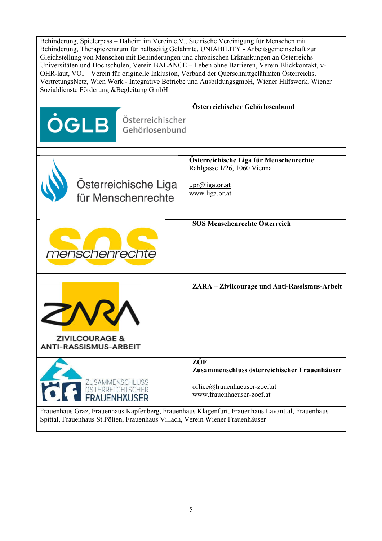| Behinderung, Spielerpass - Daheim im Verein e.V., Steirische Vereinigung für Menschen mit                                                                                                                                                                                                                                                                                                                                                                                                                                                 |                                                                        |  |  |
|-------------------------------------------------------------------------------------------------------------------------------------------------------------------------------------------------------------------------------------------------------------------------------------------------------------------------------------------------------------------------------------------------------------------------------------------------------------------------------------------------------------------------------------------|------------------------------------------------------------------------|--|--|
| Behinderung, Therapiezentrum für halbseitig Gelähmte, UNIABILITY - Arbeitsgemeinschaft zur<br>Gleichstellung von Menschen mit Behinderungen und chronischen Erkrankungen an Österreichs<br>Universitäten und Hochschulen, Verein BALANCE - Leben ohne Barrieren, Verein Blickkontakt, v-<br>OHR-laut, VOI - Verein für originelle Inklusion, Verband der Querschnittgelähmten Österreichs,<br>VertretungsNetz, Wien Work - Integrative Betriebe und AusbildungsgmbH, Wiener Hilfswerk, Wiener<br>Sozialdienste Förderung &Begleitung GmbH |                                                                        |  |  |
|                                                                                                                                                                                                                                                                                                                                                                                                                                                                                                                                           |                                                                        |  |  |
| <b>ÖGLB Österreichischer</b>                                                                                                                                                                                                                                                                                                                                                                                                                                                                                                              | Österreichischer Gehörlosenbund                                        |  |  |
|                                                                                                                                                                                                                                                                                                                                                                                                                                                                                                                                           |                                                                        |  |  |
|                                                                                                                                                                                                                                                                                                                                                                                                                                                                                                                                           | Österreichische Liga für Menschenrechte<br>Rahlgasse 1/26, 1060 Vienna |  |  |
| Österreichische Liga<br>für Menschenrechte                                                                                                                                                                                                                                                                                                                                                                                                                                                                                                | upr@liga.or.at<br>www.liga.or.at                                       |  |  |
|                                                                                                                                                                                                                                                                                                                                                                                                                                                                                                                                           | SOS Menschenrechte Österreich                                          |  |  |
| menschenrechte                                                                                                                                                                                                                                                                                                                                                                                                                                                                                                                            |                                                                        |  |  |
|                                                                                                                                                                                                                                                                                                                                                                                                                                                                                                                                           | ZARA - Zivilcourage und Anti-Rassismus-Arbeit                          |  |  |
| <b>ZIVILCOURAGE &amp;</b><br><b>ANTI-RASSISMUS-ARBEIT</b>                                                                                                                                                                                                                                                                                                                                                                                                                                                                                 |                                                                        |  |  |
|                                                                                                                                                                                                                                                                                                                                                                                                                                                                                                                                           | ZÖF                                                                    |  |  |
|                                                                                                                                                                                                                                                                                                                                                                                                                                                                                                                                           | Zusammenschluss österreichischer Frauenhäuser                          |  |  |
|                                                                                                                                                                                                                                                                                                                                                                                                                                                                                                                                           |                                                                        |  |  |
| to<br>EN ENGANMENSCHLUSS                                                                                                                                                                                                                                                                                                                                                                                                                                                                                                                  | office@frauenhaeuser-zoef.at<br>www.frauenhaeuser-zoef.at              |  |  |
| Frauenhaus Graz, Frauenhaus Kapfenberg, Frauenhaus Klagenfurt, Frauenhaus Lavanttal, Frauenhaus<br>Spittal, Frauenhaus St.Pölten, Frauenhaus Villach, Verein Wiener Frauenhäuser                                                                                                                                                                                                                                                                                                                                                          |                                                                        |  |  |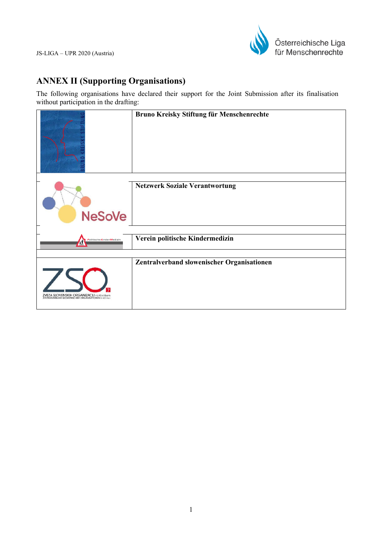

# **ANNEX II (Supporting Organisations)**

The following organisations have declared their support for the Joint Submission after its finalisation without participation in the drafting:

|                                                                                                   | Bruno Kreisky Stiftung für Menschenrechte  |
|---------------------------------------------------------------------------------------------------|--------------------------------------------|
| <b>NeSoVe</b>                                                                                     | <b>Netzwerk Soziale Verantwortung</b>      |
| Politische Kinder Medizin<br>Æ                                                                    | Verein politische Kindermedizin            |
| ZVEZA SLOVENSKIH ORGANIZACIJ na Koroškem<br>ZENTRALVERBAND SLOWENISCHER ORGANISATIONEN in Korrier | Zentralverband slowenischer Organisationen |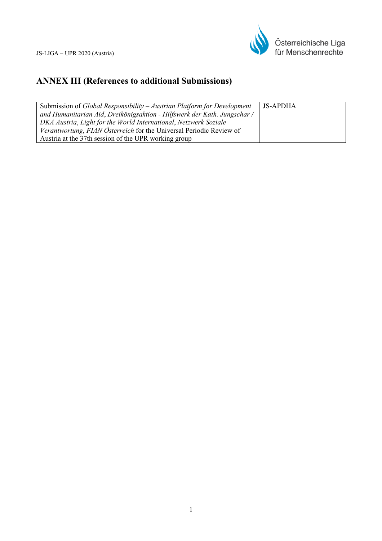

# **ANNEX III (References to additional Submissions)**

| Submission of Global Responsibility – Austrian Platform for Development  | <b>JS-APDHA</b> |
|--------------------------------------------------------------------------|-----------------|
| and Humanitarian Aid, Dreikönigsaktion - Hilfswerk der Kath. Jungschar / |                 |
| DKA Austria, Light for the World International, Netzwerk Soziale         |                 |
| Verantwortung, FIAN Österreich for the Universal Periodic Review of      |                 |
| Austria at the 37th session of the UPR working group                     |                 |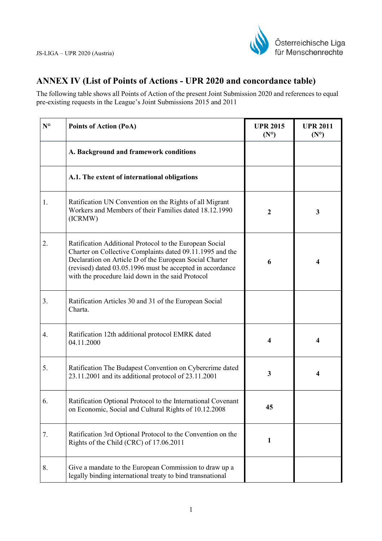

# **ANNEX IV (List of Points of Actions - UPR 2020 and concordance table)**

The following table shows all Points of Action of the present Joint Submission 2020 and references to equal pre-existing requests in the League's Joint Submissions 2015 and 2011

| $N^{\circ}$ | <b>Points of Action (PoA)</b>                                                                                                                                                                                                                                                                     | <b>UPR 2015</b><br>$(N^{\circ})$ | <b>UPR 2011</b><br>$(N^{\circ})$ |
|-------------|---------------------------------------------------------------------------------------------------------------------------------------------------------------------------------------------------------------------------------------------------------------------------------------------------|----------------------------------|----------------------------------|
|             | A. Background and framework conditions                                                                                                                                                                                                                                                            |                                  |                                  |
|             | A.1. The extent of international obligations                                                                                                                                                                                                                                                      |                                  |                                  |
| 1.          | Ratification UN Convention on the Rights of all Migrant<br>Workers and Members of their Families dated 18.12.1990<br>(ICRMW)                                                                                                                                                                      | $\mathbf{2}$                     | 3                                |
| 2.          | Ratification Additional Protocol to the European Social<br>Charter on Collective Complaints dated 09.11.1995 and the<br>Declaration on Article D of the European Social Charter<br>(revised) dated 03.05.1996 must be accepted in accordance<br>with the procedure laid down in the said Protocol | 6                                | $\overline{\mathbf{4}}$          |
| 3.          | Ratification Articles 30 and 31 of the European Social<br>Charta.                                                                                                                                                                                                                                 |                                  |                                  |
| 4.          | Ratification 12th additional protocol EMRK dated<br>04.11.2000                                                                                                                                                                                                                                    | 4                                | $\overline{\mathbf{4}}$          |
| 5.          | Ratification The Budapest Convention on Cybercrime dated<br>23.11.2001 and its additional protocol of 23.11.2001                                                                                                                                                                                  | 3                                |                                  |
| 6.          | Ratification Optional Protocol to the International Covenant<br>on Economic, Social and Cultural Rights of 10.12.2008                                                                                                                                                                             | 45                               |                                  |
| 7.          | Ratification 3rd Optional Protocol to the Convention on the<br>Rights of the Child (CRC) of 17.06.2011                                                                                                                                                                                            | 1                                |                                  |
| 8.          | Give a mandate to the European Commission to draw up a<br>legally binding international treaty to bind transnational                                                                                                                                                                              |                                  |                                  |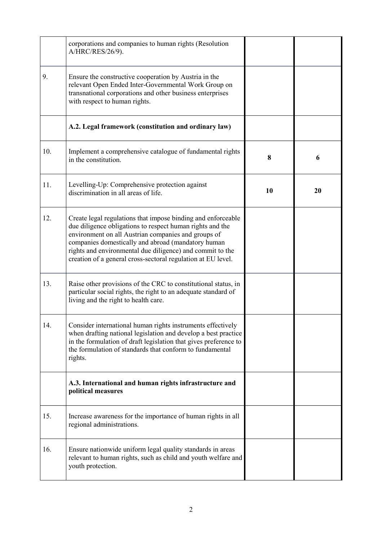|     | corporations and companies to human rights (Resolution<br>A/HRC/RES/26/9).                                                                                                                                                                                                                                                                                          |    |    |
|-----|---------------------------------------------------------------------------------------------------------------------------------------------------------------------------------------------------------------------------------------------------------------------------------------------------------------------------------------------------------------------|----|----|
| 9.  | Ensure the constructive cooperation by Austria in the<br>relevant Open Ended Inter-Governmental Work Group on<br>transnational corporations and other business enterprises<br>with respect to human rights.                                                                                                                                                         |    |    |
|     | A.2. Legal framework (constitution and ordinary law)                                                                                                                                                                                                                                                                                                                |    |    |
| 10. | Implement a comprehensive catalogue of fundamental rights<br>in the constitution.                                                                                                                                                                                                                                                                                   | 8  | 6  |
| 11. | Levelling-Up: Comprehensive protection against<br>discrimination in all areas of life.                                                                                                                                                                                                                                                                              | 10 | 20 |
| 12. | Create legal regulations that impose binding and enforceable<br>due diligence obligations to respect human rights and the<br>environment on all Austrian companies and groups of<br>companies domestically and abroad (mandatory human<br>rights and environmental due diligence) and commit to the<br>creation of a general cross-sectoral regulation at EU level. |    |    |
| 13. | Raise other provisions of the CRC to constitutional status, in<br>particular social rights, the right to an adequate standard of<br>living and the right to health care.                                                                                                                                                                                            |    |    |
| 14. | Consider international human rights instruments effectively<br>when drafting national legislation and develop a best practice<br>in the formulation of draft legislation that gives preference to<br>the formulation of standards that conform to fundamental<br>rights.                                                                                            |    |    |
|     | A.3. International and human rights infrastructure and<br>political measures                                                                                                                                                                                                                                                                                        |    |    |
| 15. | Increase awareness for the importance of human rights in all<br>regional administrations.                                                                                                                                                                                                                                                                           |    |    |
| 16. | Ensure nationwide uniform legal quality standards in areas<br>relevant to human rights, such as child and youth welfare and<br>youth protection.                                                                                                                                                                                                                    |    |    |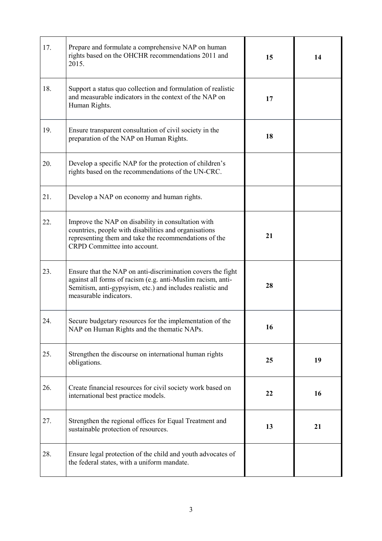| 17. | Prepare and formulate a comprehensive NAP on human<br>rights based on the OHCHR recommendations 2011 and<br>2015.                                                                                                 | 15 | 14 |
|-----|-------------------------------------------------------------------------------------------------------------------------------------------------------------------------------------------------------------------|----|----|
| 18. | Support a status quo collection and formulation of realistic<br>and measurable indicators in the context of the NAP on<br>Human Rights.                                                                           | 17 |    |
| 19. | Ensure transparent consultation of civil society in the<br>preparation of the NAP on Human Rights.                                                                                                                | 18 |    |
| 20. | Develop a specific NAP for the protection of children's<br>rights based on the recommendations of the UN-CRC.                                                                                                     |    |    |
| 21. | Develop a NAP on economy and human rights.                                                                                                                                                                        |    |    |
| 22. | Improve the NAP on disability in consultation with<br>countries, people with disabilities and organisations<br>representing them and take the recommendations of the<br>CRPD Committee into account.              | 21 |    |
| 23. | Ensure that the NAP on anti-discrimination covers the fight<br>against all forms of racism (e.g. anti-Muslim racism, anti-<br>Semitism, anti-gypsyism, etc.) and includes realistic and<br>measurable indicators. | 28 |    |
| 24. | Secure budgetary resources for the implementation of the<br>NAP on Human Rights and the thematic NAPs.                                                                                                            | 16 |    |
| 25. | Strengthen the discourse on international human rights<br>obligations.                                                                                                                                            | 25 | 19 |
| 26. | Create financial resources for civil society work based on<br>international best practice models.                                                                                                                 | 22 | 16 |
| 27. | Strengthen the regional offices for Equal Treatment and<br>sustainable protection of resources.                                                                                                                   | 13 | 21 |
| 28. | Ensure legal protection of the child and youth advocates of<br>the federal states, with a uniform mandate.                                                                                                        |    |    |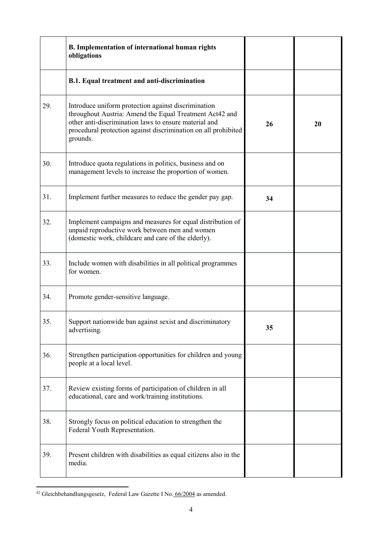|     | B. Implementation of international human rights<br>obligations                                                                                                                                                                                        |    |    |
|-----|-------------------------------------------------------------------------------------------------------------------------------------------------------------------------------------------------------------------------------------------------------|----|----|
|     | B.1. Equal treatment and anti-discrimination                                                                                                                                                                                                          |    |    |
| 29. | Introduce uniform protection against discrimination<br>throughout Austria: Amend the Equal Treatment Act42 and<br>other anti-discrimination laws to ensure material and<br>procedural protection against discrimination on all prohibited<br>grounds. | 26 | 20 |
| 30. | Introduce quota regulations in politics, business and on<br>management levels to increase the proportion of women.                                                                                                                                    |    |    |
| 31. | Implement further measures to reduce the gender pay gap.                                                                                                                                                                                              | 34 |    |
| 32. | Implement campaigns and measures for equal distribution of<br>unpaid reproductive work between men and women<br>(domestic work, childcare and care of the elderly).                                                                                   |    |    |
| 33. | Include women with disabilities in all political programmes<br>for women.                                                                                                                                                                             |    |    |
| 34. | Promote gender-sensitive language.                                                                                                                                                                                                                    |    |    |
| 35. | Support nationwide ban against sexist and discriminatory<br>advertising.                                                                                                                                                                              | 35 |    |
| 36. | Strengthen participation opportunities for children and young<br>people at a local level.                                                                                                                                                             |    |    |
| 37. | Review existing forms of participation of children in all<br>educational, care and work/training institutions.                                                                                                                                        |    |    |
| 38. | Strongly focus on political education to strengthen the<br>Federal Youth Representation.                                                                                                                                                              |    |    |
| 39. | Present children with disabilities as equal citizens also in the<br>media.                                                                                                                                                                            |    |    |

<sup>&</sup>lt;sup>42</sup> Gleichbehandlungsgesetz, Federal Law Gazette I No. 66/2004 as amended.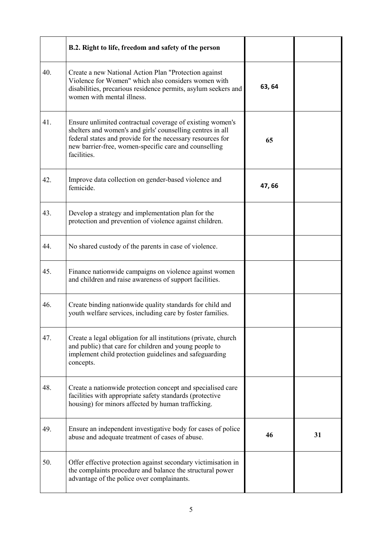|     | B.2. Right to life, freedom and safety of the person                                                                                                                                                                                                          |        |    |
|-----|---------------------------------------------------------------------------------------------------------------------------------------------------------------------------------------------------------------------------------------------------------------|--------|----|
| 40. | Create a new National Action Plan "Protection against<br>Violence for Women" which also considers women with<br>disabilities, precarious residence permits, asylum seekers and<br>women with mental illness.                                                  | 63, 64 |    |
| 41. | Ensure unlimited contractual coverage of existing women's<br>shelters and women's and girls' counselling centres in all<br>federal states and provide for the necessary resources for<br>new barrier-free, women-specific care and counselling<br>facilities. | 65     |    |
| 42. | Improve data collection on gender-based violence and<br>femicide.                                                                                                                                                                                             | 47,66  |    |
| 43. | Develop a strategy and implementation plan for the<br>protection and prevention of violence against children.                                                                                                                                                 |        |    |
| 44. | No shared custody of the parents in case of violence.                                                                                                                                                                                                         |        |    |
| 45. | Finance nationwide campaigns on violence against women<br>and children and raise awareness of support facilities.                                                                                                                                             |        |    |
| 46. | Create binding nationwide quality standards for child and<br>youth welfare services, including care by foster families.                                                                                                                                       |        |    |
| 47. | Create a legal obligation for all institutions (private, church<br>and public) that care for children and young people to<br>implement child protection guidelines and safeguarding<br>concepts.                                                              |        |    |
| 48. | Create a nationwide protection concept and specialised care<br>facilities with appropriate safety standards (protective<br>housing) for minors affected by human trafficking.                                                                                 |        |    |
| 49. | Ensure an independent investigative body for cases of police<br>abuse and adequate treatment of cases of abuse.                                                                                                                                               | 46     | 31 |
| 50. | Offer effective protection against secondary victimisation in<br>the complaints procedure and balance the structural power<br>advantage of the police over complainants.                                                                                      |        |    |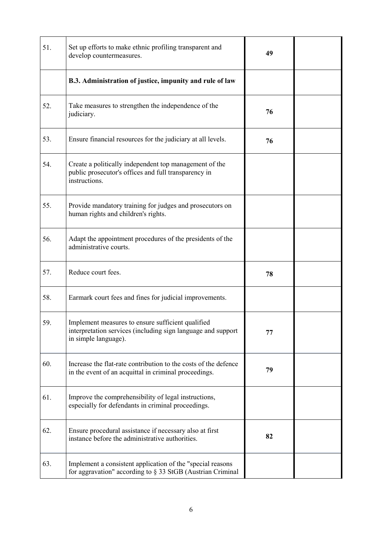| 51. | Set up efforts to make ethnic profiling transparent and<br>develop countermeasures.                                                       | 49 |  |
|-----|-------------------------------------------------------------------------------------------------------------------------------------------|----|--|
|     | B.3. Administration of justice, impunity and rule of law                                                                                  |    |  |
| 52. | Take measures to strengthen the independence of the<br>judiciary.                                                                         | 76 |  |
| 53. | Ensure financial resources for the judiciary at all levels.                                                                               | 76 |  |
| 54. | Create a politically independent top management of the<br>public prosecutor's offices and full transparency in<br>instructions.           |    |  |
| 55. | Provide mandatory training for judges and prosecutors on<br>human rights and children's rights.                                           |    |  |
| 56. | Adapt the appointment procedures of the presidents of the<br>administrative courts.                                                       |    |  |
| 57. | Reduce court fees.                                                                                                                        | 78 |  |
| 58. | Earmark court fees and fines for judicial improvements.                                                                                   |    |  |
| 59  | Implement measures to ensure sufficient qualified<br>interpretation services (including sign language and support<br>in simple language). | 77 |  |
| 60. | Increase the flat-rate contribution to the costs of the defence<br>in the event of an acquittal in criminal proceedings.                  | 79 |  |
| 61. | Improve the comprehensibility of legal instructions,<br>especially for defendants in criminal proceedings.                                |    |  |
| 62. | Ensure procedural assistance if necessary also at first<br>instance before the administrative authorities.                                | 82 |  |
| 63. | Implement a consistent application of the "special reasons"<br>for aggravation" according to § 33 StGB (Austrian Criminal                 |    |  |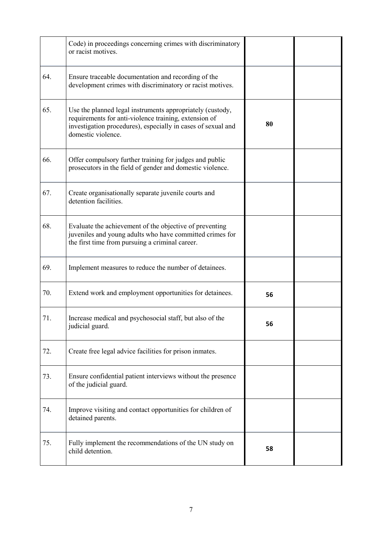|     | Code) in proceedings concerning crimes with discriminatory<br>or racist motives.                                                                                                                         |    |  |
|-----|----------------------------------------------------------------------------------------------------------------------------------------------------------------------------------------------------------|----|--|
| 64. | Ensure traceable documentation and recording of the<br>development crimes with discriminatory or racist motives.                                                                                         |    |  |
| 65. | Use the planned legal instruments appropriately (custody,<br>requirements for anti-violence training, extension of<br>investigation procedures), especially in cases of sexual and<br>domestic violence. | 80 |  |
| 66. | Offer compulsory further training for judges and public<br>prosecutors in the field of gender and domestic violence.                                                                                     |    |  |
| 67. | Create organisationally separate juvenile courts and<br>detention facilities.                                                                                                                            |    |  |
| 68. | Evaluate the achievement of the objective of preventing<br>juveniles and young adults who have committed crimes for<br>the first time from pursuing a criminal career.                                   |    |  |
| 69. | Implement measures to reduce the number of detainees.                                                                                                                                                    |    |  |
| 70. | Extend work and employment opportunities for detainees.                                                                                                                                                  | 56 |  |
| 71. | Increase medical and psychosocial staff, but also of the<br>judicial guard.                                                                                                                              | 56 |  |
| 72. | Create free legal advice facilities for prison inmates.                                                                                                                                                  |    |  |
| 73. | Ensure confidential patient interviews without the presence<br>of the judicial guard.                                                                                                                    |    |  |
| 74. | Improve visiting and contact opportunities for children of<br>detained parents.                                                                                                                          |    |  |
| 75. | Fully implement the recommendations of the UN study on<br>child detention.                                                                                                                               | 58 |  |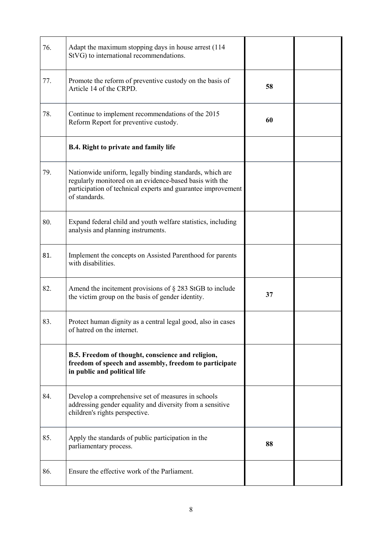| 76. | Adapt the maximum stopping days in house arrest (114<br>StVG) to international recommendations.                                                                                                      |    |  |
|-----|------------------------------------------------------------------------------------------------------------------------------------------------------------------------------------------------------|----|--|
| 77. | Promote the reform of preventive custody on the basis of<br>Article 14 of the CRPD.                                                                                                                  | 58 |  |
| 78. | Continue to implement recommendations of the 2015<br>Reform Report for preventive custody.                                                                                                           | 60 |  |
|     | <b>B.4. Right to private and family life</b>                                                                                                                                                         |    |  |
| 79. | Nationwide uniform, legally binding standards, which are<br>regularly monitored on an evidence-based basis with the<br>participation of technical experts and guarantee improvement<br>of standards. |    |  |
| 80. | Expand federal child and youth welfare statistics, including<br>analysis and planning instruments.                                                                                                   |    |  |
| 81. | Implement the concepts on Assisted Parenthood for parents<br>with disabilities.                                                                                                                      |    |  |
| 82. | Amend the incitement provisions of $\S$ 283 StGB to include<br>the victim group on the basis of gender identity.                                                                                     | 37 |  |
| 83. | Protect human dignity as a central legal good, also in cases<br>of hatred on the internet.                                                                                                           |    |  |
|     | B.5. Freedom of thought, conscience and religion,<br>freedom of speech and assembly, freedom to participate<br>in public and political life                                                          |    |  |
| 84. | Develop a comprehensive set of measures in schools<br>addressing gender equality and diversity from a sensitive<br>children's rights perspective.                                                    |    |  |
| 85. | Apply the standards of public participation in the<br>parliamentary process.                                                                                                                         | 88 |  |
| 86. | Ensure the effective work of the Parliament.                                                                                                                                                         |    |  |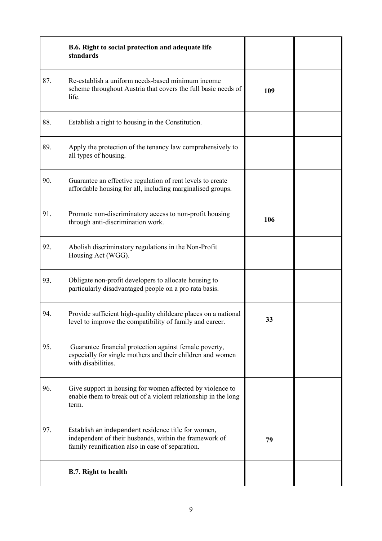|     | B.6. Right to social protection and adequate life<br>standards                                                                                                    |     |  |
|-----|-------------------------------------------------------------------------------------------------------------------------------------------------------------------|-----|--|
| 87. | Re-establish a uniform needs-based minimum income<br>scheme throughout Austria that covers the full basic needs of<br>life.                                       | 109 |  |
| 88. | Establish a right to housing in the Constitution.                                                                                                                 |     |  |
| 89. | Apply the protection of the tenancy law comprehensively to<br>all types of housing.                                                                               |     |  |
| 90. | Guarantee an effective regulation of rent levels to create<br>affordable housing for all, including marginalised groups.                                          |     |  |
| 91. | Promote non-discriminatory access to non-profit housing<br>through anti-discrimination work.                                                                      | 106 |  |
| 92. | Abolish discriminatory regulations in the Non-Profit<br>Housing Act (WGG).                                                                                        |     |  |
| 93. | Obligate non-profit developers to allocate housing to<br>particularly disadvantaged people on a pro rata basis.                                                   |     |  |
| 94. | Provide sufficient high-quality childcare places on a national<br>level to improve the compatibility of family and career.                                        | 33  |  |
| 95. | Guarantee financial protection against female poverty,<br>especially for single mothers and their children and women<br>with disabilities.                        |     |  |
| 96. | Give support in housing for women affected by violence to<br>enable them to break out of a violent relationship in the long<br>term.                              |     |  |
| 97. | Establish an independent residence title for women,<br>independent of their husbands, within the framework of<br>family reunification also in case of separation. | 79  |  |
|     | <b>B.7. Right to health</b>                                                                                                                                       |     |  |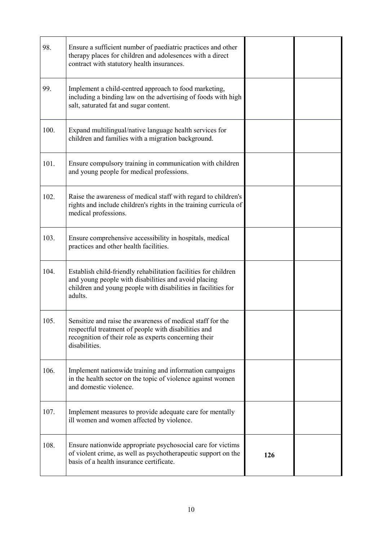| 98.  | Ensure a sufficient number of paediatric practices and other<br>therapy places for children and adolesences with a direct<br>contract with statutory health insurances.                             |     |  |
|------|-----------------------------------------------------------------------------------------------------------------------------------------------------------------------------------------------------|-----|--|
| 99.  | Implement a child-centred approach to food marketing,<br>including a binding law on the advertising of foods with high<br>salt, saturated fat and sugar content.                                    |     |  |
| 100. | Expand multilingual/native language health services for<br>children and families with a migration background.                                                                                       |     |  |
| 101. | Ensure compulsory training in communication with children<br>and young people for medical professions.                                                                                              |     |  |
| 102. | Raise the awareness of medical staff with regard to children's<br>rights and include children's rights in the training curricula of<br>medical professions.                                         |     |  |
| 103. | Ensure comprehensive accessibility in hospitals, medical<br>practices and other health facilities.                                                                                                  |     |  |
| 104. | Establish child-friendly rehabilitation facilities for children<br>and young people with disabilities and avoid placing<br>children and young people with disabilities in facilities for<br>adults. |     |  |
| 105. | Sensitize and raise the awareness of medical staff for the<br>respectful treatment of people with disabilities and<br>recognition of their role as experts concerning their<br>disabilities.        |     |  |
| 106. | Implement nationwide training and information campaigns<br>in the health sector on the topic of violence against women<br>and domestic violence.                                                    |     |  |
| 107. | Implement measures to provide adequate care for mentally<br>ill women and women affected by violence.                                                                                               |     |  |
| 108. | Ensure nationwide appropriate psychosocial care for victims<br>of violent crime, as well as psychotherapeutic support on the<br>basis of a health insurance certificate.                            | 126 |  |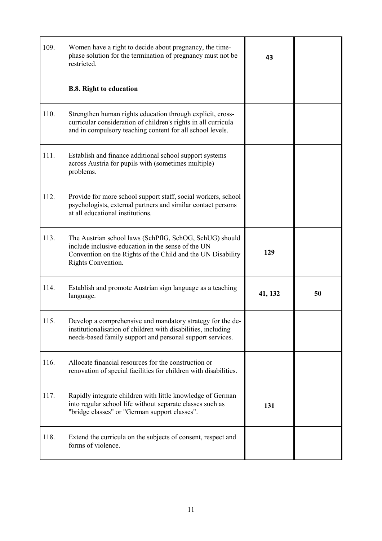| 109. | Women have a right to decide about pregnancy, the time-<br>phase solution for the termination of pregnancy must not be<br>restricted.                                                              | 43      |    |
|------|----------------------------------------------------------------------------------------------------------------------------------------------------------------------------------------------------|---------|----|
|      | <b>B.8. Right to education</b>                                                                                                                                                                     |         |    |
| 110. | Strengthen human rights education through explicit, cross-<br>curricular consideration of children's rights in all curricula<br>and in compulsory teaching content for all school levels.          |         |    |
| 111. | Establish and finance additional school support systems<br>across Austria for pupils with (sometimes multiple)<br>problems.                                                                        |         |    |
| 112. | Provide for more school support staff, social workers, school<br>psychologists, external partners and similar contact persons<br>at all educational institutions.                                  |         |    |
| 113. | The Austrian school laws (SchPflG, SchOG, SchUG) should<br>include inclusive education in the sense of the UN<br>Convention on the Rights of the Child and the UN Disability<br>Rights Convention. | 129     |    |
| 114. | Establish and promote Austrian sign language as a teaching<br>language.                                                                                                                            | 41, 132 | 50 |
| 115. | Develop a comprehensive and mandatory strategy for the de-<br>institutionalisation of children with disabilities, including<br>needs-based family support and personal support services.           |         |    |
| 116. | Allocate financial resources for the construction or<br>renovation of special facilities for children with disabilities.                                                                           |         |    |
| 117. | Rapidly integrate children with little knowledge of German<br>into regular school life without separate classes such as<br>"bridge classes" or "German support classes".                           | 131     |    |
| 118. | Extend the curricula on the subjects of consent, respect and<br>forms of violence.                                                                                                                 |         |    |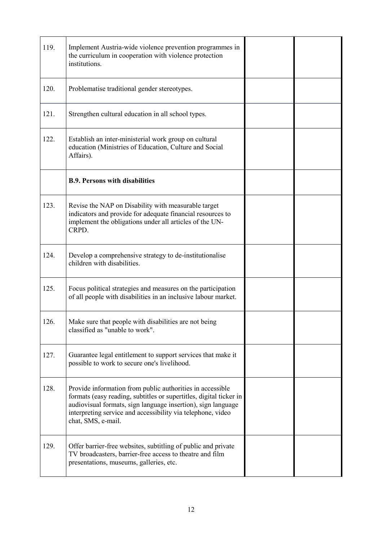| 119. | Implement Austria-wide violence prevention programmes in<br>the curriculum in cooperation with violence protection<br>institutions.                                                                                                                                                  |  |
|------|--------------------------------------------------------------------------------------------------------------------------------------------------------------------------------------------------------------------------------------------------------------------------------------|--|
| 120. | Problematise traditional gender stereotypes.                                                                                                                                                                                                                                         |  |
| 121. | Strengthen cultural education in all school types.                                                                                                                                                                                                                                   |  |
| 122. | Establish an inter-ministerial work group on cultural<br>education (Ministries of Education, Culture and Social<br>Affairs).                                                                                                                                                         |  |
|      | <b>B.9. Persons with disabilities</b>                                                                                                                                                                                                                                                |  |
| 123. | Revise the NAP on Disability with measurable target<br>indicators and provide for adequate financial resources to<br>implement the obligations under all articles of the UN-<br>CRPD.                                                                                                |  |
| 124. | Develop a comprehensive strategy to de-institutionalise<br>children with disabilities.                                                                                                                                                                                               |  |
| 125. | Focus political strategies and measures on the participation<br>of all people with disabilities in an inclusive labour market.                                                                                                                                                       |  |
| 126. | Make sure that people with disabilities are not being<br>classified as "unable to work".                                                                                                                                                                                             |  |
| 127. | Guarantee legal entitlement to support services that make it<br>possible to work to secure one's livelihood.                                                                                                                                                                         |  |
| 128. | Provide information from public authorities in accessible<br>formats (easy reading, subtitles or supertitles, digital ticker in<br>audiovisual formats, sign language insertion), sign language<br>interpreting service and accessibility via telephone, video<br>chat, SMS, e-mail. |  |
| 129. | Offer barrier-free websites, subtitling of public and private<br>TV broadcasters, barrier-free access to theatre and film<br>presentations, museums, galleries, etc.                                                                                                                 |  |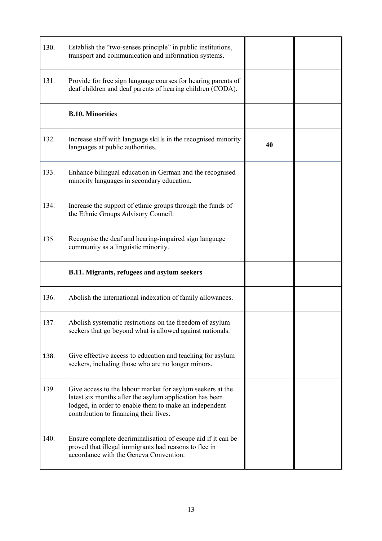| 130. | Establish the "two-senses principle" in public institutions,<br>transport and communication and information systems.                                                                                                      |    |  |
|------|---------------------------------------------------------------------------------------------------------------------------------------------------------------------------------------------------------------------------|----|--|
| 131. | Provide for free sign language courses for hearing parents of<br>deaf children and deaf parents of hearing children (CODA).                                                                                               |    |  |
|      | <b>B.10. Minorities</b>                                                                                                                                                                                                   |    |  |
| 132. | Increase staff with language skills in the recognised minority<br>languages at public authorities.                                                                                                                        | 40 |  |
| 133. | Enhance bilingual education in German and the recognised<br>minority languages in secondary education.                                                                                                                    |    |  |
| 134. | Increase the support of ethnic groups through the funds of<br>the Ethnic Groups Advisory Council.                                                                                                                         |    |  |
| 135. | Recognise the deaf and hearing-impaired sign language<br>community as a linguistic minority.                                                                                                                              |    |  |
|      | B.11. Migrants, refugees and asylum seekers                                                                                                                                                                               |    |  |
| 136. | Abolish the international indexation of family allowances.                                                                                                                                                                |    |  |
| 137. | Abolish systematic restrictions on the freedom of asylum<br>seekers that go beyond what is allowed against nationals.                                                                                                     |    |  |
| 138. | Give effective access to education and teaching for asylum<br>seekers, including those who are no longer minors.                                                                                                          |    |  |
| 139. | Give access to the labour market for asylum seekers at the<br>latest six months after the asylum application has been<br>lodged, in order to enable them to make an independent<br>contribution to financing their lives. |    |  |
| 140. | Ensure complete decriminalisation of escape aid if it can be<br>proved that illegal immigrants had reasons to flee in<br>accordance with the Geneva Convention.                                                           |    |  |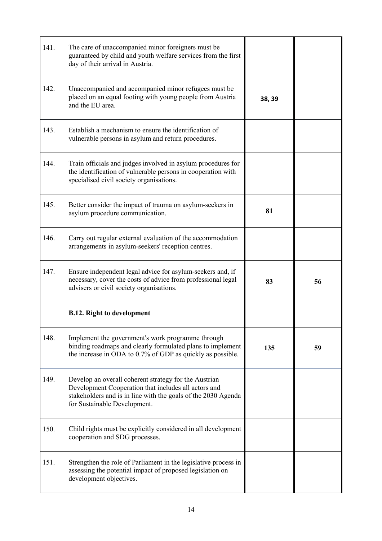| 141. | The care of unaccompanied minor foreigners must be<br>guaranteed by child and youth welfare services from the first<br>day of their arrival in Austria.                                                        |        |    |
|------|----------------------------------------------------------------------------------------------------------------------------------------------------------------------------------------------------------------|--------|----|
| 142. | Unaccompanied and accompanied minor refugees must be<br>placed on an equal footing with young people from Austria<br>and the EU area.                                                                          | 38, 39 |    |
| 143. | Establish a mechanism to ensure the identification of<br>vulnerable persons in asylum and return procedures.                                                                                                   |        |    |
| 144. | Train officials and judges involved in asylum procedures for<br>the identification of vulnerable persons in cooperation with<br>specialised civil society organisations.                                       |        |    |
| 145. | Better consider the impact of trauma on asylum-seekers in<br>asylum procedure communication.                                                                                                                   | 81     |    |
| 146. | Carry out regular external evaluation of the accommodation<br>arrangements in asylum-seekers' reception centres.                                                                                               |        |    |
| 147. | Ensure independent legal advice for asylum-seekers and, if<br>necessary, cover the costs of advice from professional legal<br>advisers or civil society organisations.                                         | 83     | 56 |
|      | <b>B.12. Right to development</b>                                                                                                                                                                              |        |    |
| 148. | Implement the government's work programme through<br>binding roadmaps and clearly formulated plans to implement<br>the increase in ODA to 0.7% of GDP as quickly as possible.                                  | 135    | 59 |
| 149. | Develop an overall coherent strategy for the Austrian<br>Development Cooperation that includes all actors and<br>stakeholders and is in line with the goals of the 2030 Agenda<br>for Sustainable Development. |        |    |
| 150. | Child rights must be explicitly considered in all development<br>cooperation and SDG processes.                                                                                                                |        |    |
| 151. | Strengthen the role of Parliament in the legislative process in<br>assessing the potential impact of proposed legislation on<br>development objectives.                                                        |        |    |